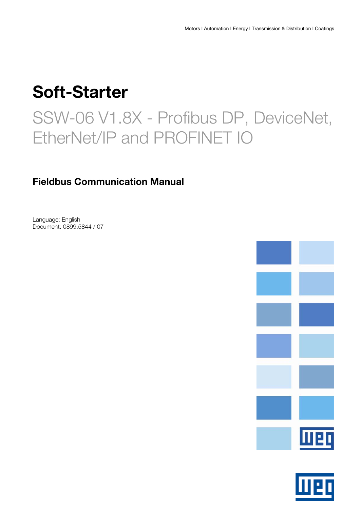# Soft-Starter

# SSW-06 V1.8X - Profibus DP, DeviceNet, EtherNet/IP and PROFINET IO

# Fieldbus Communication Manual

Language: English Document: 0899.5844 / 07



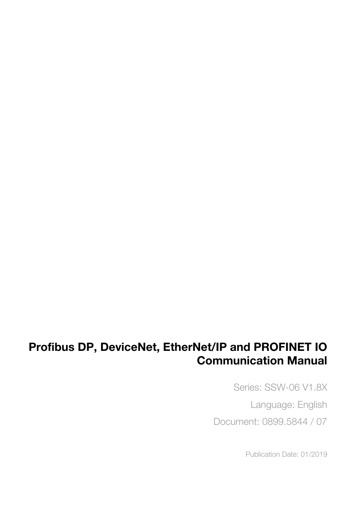# Profibus DP, DeviceNet, EtherNet/IP and PROFINET IO Communication Manual

Series: SSW-06 V1.8X Language: English Document: 0899.5844 / 07

Publication Date: 01/2019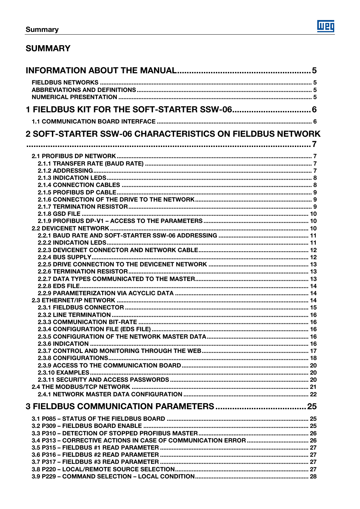# **SUMMARY**

| 1 FIELDBUS KIT FOR THE SOFT-STARTER SSW-06 6                     |  |
|------------------------------------------------------------------|--|
|                                                                  |  |
| <b>2 SOFT-STARTER SSW-06 CHARACTERISTICS ON FIELDBUS NETWORK</b> |  |
|                                                                  |  |
|                                                                  |  |
|                                                                  |  |
|                                                                  |  |
|                                                                  |  |
|                                                                  |  |
|                                                                  |  |
|                                                                  |  |
|                                                                  |  |
|                                                                  |  |
|                                                                  |  |
|                                                                  |  |
|                                                                  |  |
|                                                                  |  |
|                                                                  |  |
|                                                                  |  |
|                                                                  |  |
|                                                                  |  |
|                                                                  |  |
|                                                                  |  |
|                                                                  |  |
|                                                                  |  |
|                                                                  |  |
|                                                                  |  |
|                                                                  |  |
|                                                                  |  |
|                                                                  |  |
|                                                                  |  |
|                                                                  |  |
|                                                                  |  |
|                                                                  |  |
|                                                                  |  |
|                                                                  |  |
|                                                                  |  |
|                                                                  |  |
|                                                                  |  |
|                                                                  |  |
|                                                                  |  |
|                                                                  |  |
|                                                                  |  |
|                                                                  |  |
|                                                                  |  |
|                                                                  |  |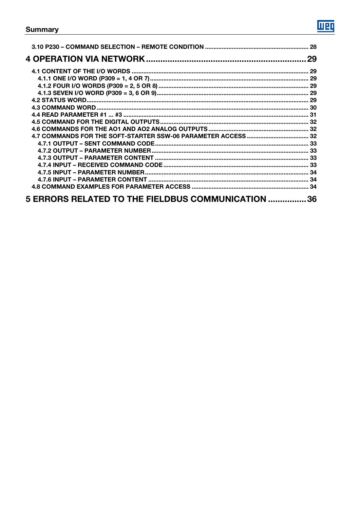|                                                   | 29 |
|---------------------------------------------------|----|
|                                                   |    |
|                                                   |    |
|                                                   |    |
|                                                   |    |
|                                                   |    |
|                                                   |    |
|                                                   |    |
|                                                   |    |
|                                                   |    |
|                                                   |    |
|                                                   |    |
|                                                   |    |
|                                                   |    |
|                                                   |    |
|                                                   |    |
|                                                   |    |
|                                                   |    |
|                                                   |    |
| 5 ERRORS RELATED TO THE FIELDBUS COMMUNICATION 36 |    |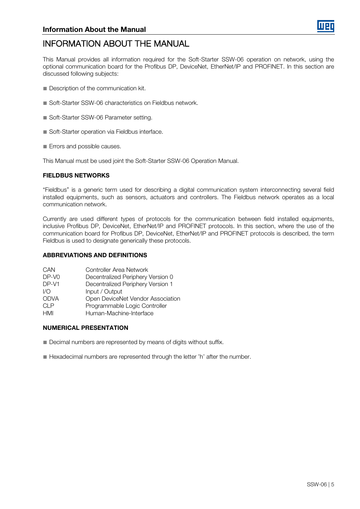

# <span id="page-4-0"></span>INFORMATION ABOUT THE MANUAL

This Manual provides all information required for the Soft-Starter SSW-06 operation on network, using the optional communication board for the Profibus DP, DeviceNet, EtherNet/IP and PROFINET. In this section are discussed following subjects:

- Description of the communication kit.
- Soft-Starter SSW-06 characteristics on Fieldbus network.
- Soft-Starter SSW-06 Parameter setting.
- Soft-Starter operation via Fieldbus interface.
- Errors and possible causes.

This Manual must be used joint the Soft-Starter SSW-06 Operation Manual.

### <span id="page-4-1"></span>FIELDBUS NETWORKS

"Fieldbus" is a generic term used for describing a digital communication system interconnecting several field installed equipments, such as sensors, actuators and controllers. The Fieldbus network operates as a local communication network.

Currently are used different types of protocols for the communication between field installed equipments, inclusive Profibus DP, DeviceNet, EtherNet/IP and PROFINET protocols. In this section, where the use of the communication board for Profibus DP, DeviceNet, EtherNet/IP and PROFINET protocols is described, the term Fieldbus is used to designate generically these protocols.

# <span id="page-4-2"></span>ABBREVIATIONS AND DEFINITIONS

| CAN   | Controller Area Network           |
|-------|-----------------------------------|
| DP-VO | Decentralized Periphery Version 0 |
| DP-V1 | Decentralized Periphery Version 1 |
| 1/O   | Input / Output                    |
| ODVA  | Open DeviceNet Vendor Association |
| CI P  | Programmable Logic Controller     |
| HMI   | Human-Machine-Interface           |
|       |                                   |

# <span id="page-4-3"></span>NUMERICAL PRESENTATION

- Decimal numbers are represented by means of digits without suffix.
- Hexadecimal numbers are represented through the letter 'h' after the number.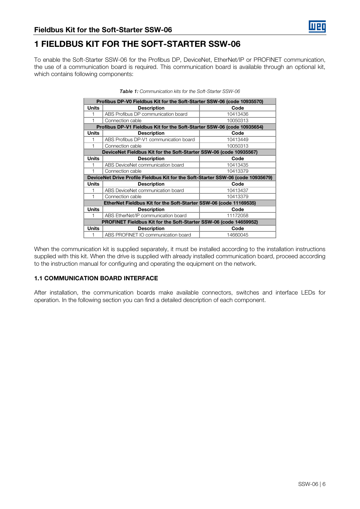# <span id="page-5-0"></span>1 FIELDBUS KIT FOR THE SOFT-STARTER SSW-06

To enable the Soft-Starter SSW-06 for the Profibus DP, DeviceNet, EtherNet/IP or PROFINET communication, the use of a communication board is required. This communication board is available through an optional kit, which contains following components:

|              | Profibus DP-V0 Fieldbus Kit for the Soft-Starter SSW-06 (code 10935570)          |          |  |  |  |
|--------------|----------------------------------------------------------------------------------|----------|--|--|--|
| <b>Units</b> | <b>Description</b>                                                               | Code     |  |  |  |
| 1            | ABS Profibus DP communication board                                              | 10413436 |  |  |  |
| 1            | Connection cable                                                                 | 10050313 |  |  |  |
|              | Profibus DP-V1 Fieldbus Kit for the Soft-Starter SSW-06 (code 10935654)          |          |  |  |  |
| <b>Units</b> | <b>Description</b>                                                               | Code     |  |  |  |
| 1            | ABS Profibus DP-V1 communication board                                           | 10413449 |  |  |  |
| 1            | Connection cable                                                                 | 10050313 |  |  |  |
|              | DeviceNet Fieldbus Kit for the Soft-Starter SSW-06 (code 10935567)               |          |  |  |  |
| Units        | <b>Description</b>                                                               | Code     |  |  |  |
| 1            | ABS DeviceNet communication board                                                | 10413435 |  |  |  |
| 1            | Connection cable                                                                 | 10413379 |  |  |  |
|              | DeviceNet Drive Profile Fieldbus Kit for the Soft-Starter SSW-06 (code 10935679) |          |  |  |  |
| Units        | <b>Description</b>                                                               | Code     |  |  |  |
| 1            | ABS DeviceNet communication board                                                | 10413437 |  |  |  |
| 1            | Connection cable                                                                 | 10413379 |  |  |  |
|              | EtherNet Fieldbus Kit for the Soft-Starter SSW-06 (code 11169535)                |          |  |  |  |
| Units        | <b>Description</b>                                                               | Code     |  |  |  |
| 1            | ABS EtherNet/IP communication board                                              | 11172058 |  |  |  |
|              | PROFINET Fieldbus Kit for the Soft-Starter SSW-06 (code 14659952)                |          |  |  |  |
| Units        | <b>Description</b>                                                               | Code     |  |  |  |
| 1            | ABS PROFINET IO communication board                                              | 14660045 |  |  |  |

| <b>Table 1:</b> Communication kits for the Soft-Starter SSW-06 |  |  |
|----------------------------------------------------------------|--|--|
|                                                                |  |  |

When the communication kit is supplied separately, it must be installed according to the installation instructions supplied with this kit. When the drive is supplied with already installed communication board, proceed according to the instruction manual for configuring and operating the equipment on the network.

# <span id="page-5-1"></span>1.1 COMMUNICATION BOARD INTERFACE

After installation, the communication boards make available connectors, switches and interface LEDs for operation. In the following section you can find a detailed description of each component.

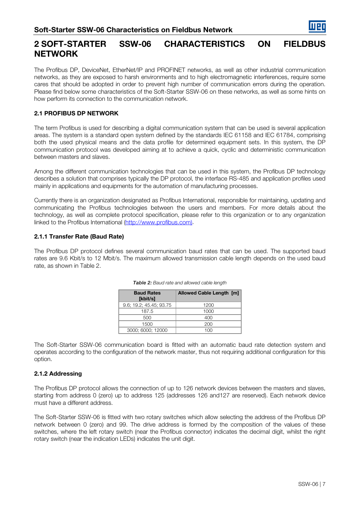# <span id="page-6-0"></span>2 SOFT-STARTER SSW-06 CHARACTERISTICS ON FIELDBUS **NETWORK**

The Profibus DP, DeviceNet, EtherNet/IP and PROFINET networks, as well as other industrial communication networks, as they are exposed to harsh environments and to high electromagnetic interferences, require some cares that should be adopted in order to prevent high number of communication errors during the operation. Please find below some characteristics of the Soft-Starter SSW-06 on these networks, as well as some hints on how perform its connection to the communication network.

# <span id="page-6-1"></span>2.1 PROFIBUS DP NETWORK

The term Profibus is used for describing a digital communication system that can be used is several application areas. The system is a standard open system defined by the standards IEC 61158 and IEC 61784, comprising both the used physical means and the data profile for determined equipment sets. In this system, the DP communication protocol was developed aiming at to achieve a quick, cyclic and deterministic communication between masters and slaves.

Among the different communication technologies that can be used in this system, the Profibus DP technology describes a solution that comprises typically the DP protocol, the interface RS-485 and application profiles used mainly in applications and equipments for the automation of manufacturing processes.

Currently there is an organization designated as Profibus International, responsible for maintaining, updating and communicating the Profibus technologies between the users and members. For more details about the technology, as well as complete protocol specification, please refer to this organization or to any organization linked to the Profibus International [\(http://www.profibus.com\).](http://www.profibus.com)/)

# <span id="page-6-2"></span>2.1.1 Transfer Rate (Baud Rate)

<span id="page-6-4"></span>The Profibus DP protocol defines several communication baud rates that can be used. The supported baud rates are 9.6 Kbit/s to 12 Mbit/s. The maximum allowed transmission cable length depends on the used baud rate, as shown in [Table 2.](#page-6-4)

| <b>Baud Rates</b><br>[kbit/s] | <b>Allowed Cable Length [m]</b> |
|-------------------------------|---------------------------------|
| 9.6; 19.2; 45.45; 93.75       | 1200                            |
| 187.5                         | 1000                            |
| 500                           | 400                             |
| 1500                          | 200                             |
| 3000; 6000; 12000             |                                 |

| Table 2: Baud rate and allowed cable length |  |  |
|---------------------------------------------|--|--|
|---------------------------------------------|--|--|

The Soft-Starter SSW-06 communication board is fitted with an automatic baud rate detection system and operates according to the configuration of the network master, thus not requiring additional configuration for this option.

# <span id="page-6-3"></span>2.1.2 Addressing

The Profibus DP protocol allows the connection of up to 126 network devices between the masters and slaves, starting from address 0 (zero) up to address 125 (addresses 126 and127 are reserved). Each network device must have a different address.

The Soft-Starter SSW-06 is fitted with two rotary switches which allow selecting the address of the Profibus DP network between 0 (zero) and 99. The drive address is formed by the composition of the values of these switches, where the left rotary switch (near the Profibus connector) indicates the decimal digit, whilst the right rotary switch (near the indication LEDs) indicates the unit digit.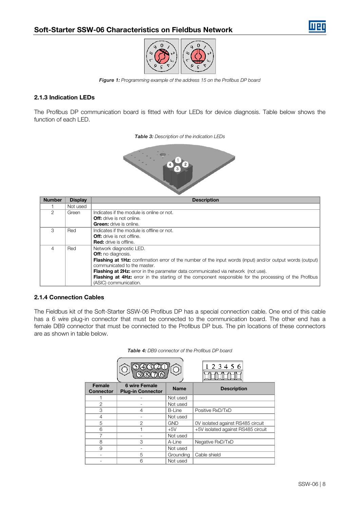



Figure 1: Programming example of the address 15 on the Profibus DP board

# <span id="page-7-0"></span>2.1.3 Indication LEDs

<span id="page-7-2"></span>The Profibus DP communication board is fitted with four LEDs for device diagnosis. Table below shows the function of each LED.

Table 3: Description of the indication LEDs



| <b>Number</b> | <b>Display</b> | <b>Description</b>                                                                                               |  |  |
|---------------|----------------|------------------------------------------------------------------------------------------------------------------|--|--|
|               | Not used       |                                                                                                                  |  |  |
| 2             | Green          | Indicates if the module is online or not.                                                                        |  |  |
|               |                | <b>Off:</b> drive is not online.                                                                                 |  |  |
|               |                | <b>Green:</b> drive is online.                                                                                   |  |  |
| 3             | Red            | Indicates if the module is offline or not.                                                                       |  |  |
|               |                | <b>Off:</b> drive is not offline.                                                                                |  |  |
|               |                | <b>Red:</b> drive is offline.                                                                                    |  |  |
|               | Red            | Network diagnostic LED.                                                                                          |  |  |
|               |                | <b>Off:</b> no diagnosis.                                                                                        |  |  |
|               |                | <b>Flashing at 1Hz:</b> confirmation error of the number of the input words (input) and/or output words (output) |  |  |
|               |                | communicated to the master.                                                                                      |  |  |
|               |                | <b>Flashing at 2Hz:</b> error in the parameter data communicated via network (not use).                          |  |  |
|               |                | <b>Flashing at 4Hz:</b> error in the starting of the component responsible for the processing of the Profibus    |  |  |
|               |                | (ASIC) communication.                                                                                            |  |  |

#### <span id="page-7-1"></span>2.1.4 Connection Cables

The Fieldbus kit of the Soft-Starter SSW-06 Profibus DP has a special connection cable. One end of this cable has a 6 wire plug-in connector that must be connected to the communication board. The other end has a female DB9 connector that must be connected to the Profibus DP bus. The pin locations of these connectors are as shown in table below.

|                            |                                                  |             | 2 3 4 5 6                          |
|----------------------------|--------------------------------------------------|-------------|------------------------------------|
| Female<br><b>Connector</b> | <b>6 wire Female</b><br><b>Plug-in Connector</b> | <b>Name</b> | <b>Description</b>                 |
|                            |                                                  | Not used    |                                    |
| $\mathbf{2}$               |                                                  | Not used    |                                    |
| 3                          | 4                                                | B-Line      | Positive RxD/TxD                   |
| 4                          |                                                  | Not used    |                                    |
| 5                          | $\mathcal{P}$                                    | <b>GND</b>  | OV isolated against RS485 circuit  |
| 6                          |                                                  | $+5V$       | +5V isolated against RS485 circuit |
|                            |                                                  | Not used    |                                    |
| 8                          | 3                                                | A-Line      | Negative RxD/TxD                   |
| 9                          |                                                  | Not used    |                                    |
|                            | 5                                                | Grounding   | Cable shield                       |
|                            | 6                                                | Not used    |                                    |

Table 4: DB9 connector of the Profibus DP board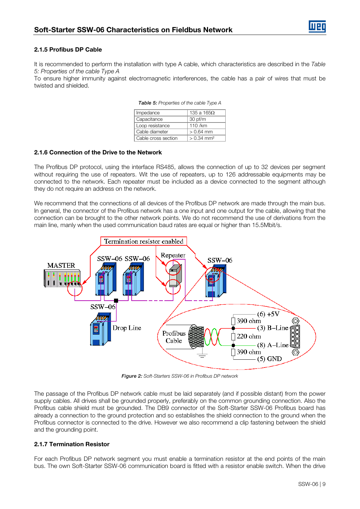# <span id="page-8-0"></span>2.1.5 Profibus DP Cable

It is recommended to perform the installation with type A cable, which characteristics are described in the Table 5: Properties of the cable Type A

To ensure higher immunity against electromagnetic interferences, the cable has a pair of wires that must be twisted and shielded.

| Impedance           | 135 a 165 $\Omega$       |  |
|---------------------|--------------------------|--|
| Capacitance         | $30$ pf/m                |  |
| Loop resistance     | 110 /km                  |  |
| Cable diameter      | $> 0.64$ mm              |  |
| Cable cross section | $> 0.34$ mm <sup>2</sup> |  |

Table 5: Properties of the cable Type A

#### <span id="page-8-1"></span>2.1.6 Connection of the Drive to the Network

The Profibus DP protocol, using the interface RS485, allows the connection of up to 32 devices per segment without requiring the use of repeaters. Wit the use of repeaters, up to 126 addressable equipments may be connected to the network. Each repeater must be included as a device connected to the segment although they do not require an address on the network.

We recommend that the connections of all devices of the Profibus DP network are made through the main bus. In general, the connector of the Profibus network has a one input and one output for the cable, allowing that the connection can be brought to the other network points. We do not recommend the use of derivations from the main line, manly when the used communication baud rates are equal or higher than 15.5Mbit/s.



Figure 2: Soft-Starters SSW-06 in Profibus DP network

The passage of the Profibus DP network cable must be laid separately (and if possible distant) from the power supply cables. All drives shall be grounded properly, preferably on the common grounding connection. Also the Profibus cable shield must be grounded. The DB9 connector of the Soft-Starter SSW-06 Profibus board has already a connection to the ground protection and so establishes the shield connection to the ground when the Profibus connector is connected to the drive. However we also recommend a clip fastening between the shield and the grounding point.

# <span id="page-8-2"></span>2.1.7 Termination Resistor

For each Profibus DP network segment you must enable a termination resistor at the end points of the main bus. The own Soft-Starter SSW-06 communication board is fitted with a resistor enable switch. When the drive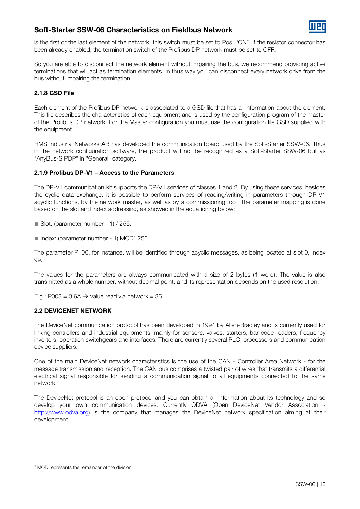is the first or the last element of the network, this switch must be set to Pos. "ON". If the resistor connector has been already enabled, the termination switch of the Profibus DP network must be set to OFF.

So you are able to disconnect the network element without impairing the bus, we recommend providing active terminations that will act as termination elements. In thus way you can disconnect every network drive from the bus without impairing the termination.

# <span id="page-9-0"></span>2.1.8 GSD File

Each element of the Profibus DP network is associated to a GSD file that has all information about the element. This file describes the characteristics of each equipment and is used by the configuration program of the master of the Profibus DP network. For the Master configuration you must use the configuration file GSD supplied with the equipment.

HMS Industrial Networks AB has developed the communication board used by the Soft-Starter SSW-06. Thus in the network configuration software, the product will not be recognized as a Soft-Starter SSW-06 but as "AnyBus-S PDP" in "General" category.

# <span id="page-9-1"></span>2.1.9 Profibus DP-V1 – Access to the Parameters

The DP-V1 communication kit supports the DP-V1 services of classes 1 and 2. By using these services, besides the cyclic data exchange, it is possible to perform services of reading/writing in parameters through DP-V1 acyclic functions, by the network master, as well as by a commissioning tool. The parameter mapping is done based on the slot and index addressing, as showed in the equationing below:

 $\blacksquare$  Slot: (parameter number - 1) / 255.

 $\blacksquare$  Index: (parameter number - [1](#page-9-3)) MOD<sup>1</sup> 255.

The parameter P100, for instance, will be identified through acyclic messages, as being located at slot 0, index 99.

The values for the parameters are always communicated with a size of 2 bytes (1 word). The value is also transmitted as a whole number, without decimal point, and its representation depends on the used resolution.

E.g.: P003 = 3,6A  $\rightarrow$  value read via network = 36.

# <span id="page-9-2"></span>2.2 DEVICENET NETWORK

The DeviceNet communication protocol has been developed in 1994 by Allen-Bradley and is currently used for linking controllers and industrial equipments, mainly for sensors, valves, starters, bar code readers, frequency inverters, operation switchgears and interfaces. There are currently several PLC, processors and communication device suppliers.

One of the main DeviceNet network characteristics is the use of the CAN - Controller Area Network - for the message transmission and reception. The CAN bus comprises a twisted pair of wires that transmits a differential electrical signal responsible for sending a communication signal to all equipments connected to the same network.

The DeviceNet protocol is an open protocol and you can obtain all information about its technology and so develop your own communication devices. Currently ODVA (Open DeviceNet Vendor Association [http://www.odva.org\)](http://www.odva.org/) is the company that manages the DeviceNet network specification aiming at their development.

<span id="page-9-3"></span><sup>&</sup>lt;u>.</u> <sup>1</sup> MOD represents the remainder of the division.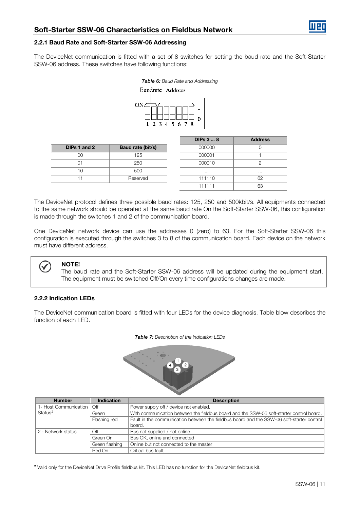#### <span id="page-10-0"></span>2.2.1 Baud Rate and Soft-Starter SSW-06 Addressing

The DeviceNet communication is fitted with a set of 8 switches for setting the baud rate and the Soft-Starter SSW-06 address. These switches have following functions:

| <b>Table 6:</b> Baud Rate and Addressing |               |  |  |  |  |
|------------------------------------------|---------------|--|--|--|--|
| Baudrate Address                         |               |  |  |  |  |
|                                          |               |  |  |  |  |
| ON                                       | 2 3 4 5 6 7 8 |  |  |  |  |

|              |                   | <b>DIPs 3  8</b> | <b>Address</b> |
|--------------|-------------------|------------------|----------------|
| DIPs 1 and 2 | Baud rate (bit/s) | 000000           |                |
| OΟ           | 125               | 000001           |                |
| $\Omega$ 1   | 250               | 000010           |                |
| 10           | 500               | $\cdots$         | $\cdots$       |
|              | Reserved          | 111110           | 62             |
|              |                   | 111111           | 63             |

The DeviceNet protocol defines three possible baud rates: 125, 250 and 500kbit/s. All equipments connected to the same network should be operated at the same baud rate On the Soft-Starter SSW-06, this configuration is made through the switches 1 and 2 of the communication board.

One DeviceNet network device can use the addresses 0 (zero) to 63. For the Soft-Starter SSW-06 this configuration is executed through the switches 3 to 8 of the communication board. Each device on the network must have different address.



#### NOTE!

The baud rate and the Soft-Starter SSW-06 address will be updated during the equipment start. The equipment must be switched Off/On every time configurations changes are made.

#### <span id="page-10-1"></span>2.2.2 Indication LEDs

The DeviceNet communication board is fitted with four LEDs for the device diagnosis. Table blow describes the function of each LED.



| <b>Number</b>         | Indication     | <b>Description</b>                                                                        |
|-----------------------|----------------|-------------------------------------------------------------------------------------------|
| 1- Host Communication | Off            | Power supply off / device not enabled.                                                    |
| Status <sup>2</sup>   | Green          | With communication between the fieldbus board and the SSW-06 soft-starter control board.  |
|                       | Flashing red   | Fault in the communication between the fieldbus board and the SSW-06 soft-starter control |
|                       |                | board.                                                                                    |
| 2 - Network status    | Off            | Bus not supplied / not online                                                             |
|                       | Green On       | Bus OK, online and connected                                                              |
|                       | Green flashing | Online but not connected to the master                                                    |
|                       | Red On         | Critical bus fault                                                                        |

<span id="page-10-2"></span><sup>&</sup>lt;u>.</u> <sup>2</sup> Valid only for the DeviceNet Drive Profile fieldbus kit. This LED has no function for the DeviceNet fieldbus kit.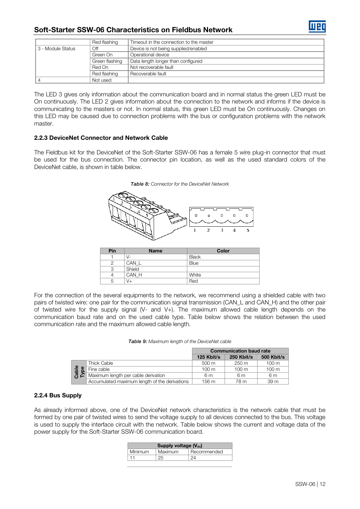|                    | Red flashing                                         | Timeout in the connection to the master |
|--------------------|------------------------------------------------------|-----------------------------------------|
| 13 - Module Status | Device is not being supplied/enabled<br>Off          |                                         |
|                    | Operational device<br>Green On                       |                                         |
|                    | Green flashing<br>Data length longer than configured |                                         |
|                    | Red On                                               | Not recoverable fault                   |
|                    | Red flashing                                         | Recoverable fault                       |
|                    | Not used                                             |                                         |

The LED 3 gives only information about the communication board and in normal status the green LED must be On continuously. The LED 2 gives information about the connection to the network and informs if the device is communicating to the masters or not. In normal status, this green LED must be On continuously. Changes on this LED may be caused due to connection problems with the bus or configuration problems with the network master.

# <span id="page-11-0"></span>2.2.3 DeviceNet Connector and Network Cable

The Fieldbus kit for the DeviceNet of the Soft-Starter SSW-06 has a female 5 wire plug-in connector that must be used for the bus connection. The connector pin location, as well as the used standard colors of the DeviceNet cable, is shown in table below.





| Pin | <b>Name</b> | Color        |
|-----|-------------|--------------|
|     | V-          | <b>Black</b> |
|     | CAN L       | <b>Blue</b>  |
| З   | Shield      |              |
|     | CAN H       | White        |
| 5   | V+          | Red          |

For the connection of the several equipments to the network, we recommend using a shielded cable with two pairs of twisted wire: one pair for the communication signal transmission (CAN\_L and CAN\_H) and the other pair of twisted wire for the supply signal (V- and V+). The maximum allowed cable length depends on the communication baud rate and on the used cable type. Table below shows the relation between the used communication rate and the maximum allowed cable length.

| Table 9: Maximum length of the DeviceNet cable |  |  |  |  |
|------------------------------------------------|--|--|--|--|
|------------------------------------------------|--|--|--|--|

|        |                                               | <b>Communication baud rate</b> |                 |                   |
|--------|-----------------------------------------------|--------------------------------|-----------------|-------------------|
|        |                                               | 125 Kbit/s                     | 250 Kbit/s      | <b>500 Kbit/s</b> |
|        | Thick Cable                                   | $500 \text{ m}$                | $250 \text{ m}$ | $100 \text{ m}$   |
| ₾<br>യ | Fine cable                                    | $100 \text{ m}$                | $100 \text{ m}$ | $100 \text{ m}$   |
| 高<br>다 | Maximum length per cable derivation           | 6 m                            | 6m              | 6m                |
|        | Accumulated maximum length of the derivations | 156 m                          | 78 m            | 39 <sub>m</sub>   |

# <span id="page-11-1"></span>2.2.4 Bus Supply

As already informed above, one of the DeviceNet network characteristics is the network cable that must be formed by one pair of twisted wires to send the voltage supply to all devices connected to the bus. This voltage is used to supply the interface circuit with the network. Table below shows the current and voltage data of the power supply for the Soft-Starter SSW-06 communication board.

| Supply voltage $(V_{dc})$ |         |             |
|---------------------------|---------|-------------|
| Minimum                   | Maximum | Recommended |
|                           | クト      |             |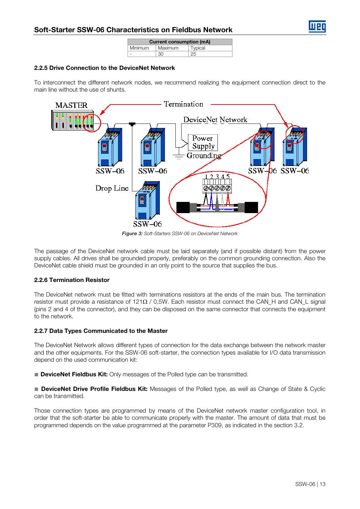| <b>Current consumption (mA)</b> |         |         |
|---------------------------------|---------|---------|
| <b>Minimum</b>                  | Maximum | Typical |
|                                 | 30      |         |

# <span id="page-12-0"></span>2.2.5 Drive Connection to the DeviceNet Network

To interconnect the different network nodes, we recommend realizing the equipment connection direct to the main line without the use of shunts.



Figure 3: Soft-Starters SSW-06 on DeviceNet Network

The passage of the DeviceNet network cable must be laid separately (and if possible distant) from the power supply cables. All drives shall be grounded properly, preferably on the common grounding connection. Also the DeviceNet cable shield must be grounded in an only point to the source that supplies the bus.

# <span id="page-12-1"></span>2.2.6 Termination Resistor

The DeviceNet network must be fitted with terminations resistors at the ends of the main bus. The termination resistor must provide a resistance of 121Ω / 0,5W. Each resistor must connect the CAN\_H and CAN\_L signal (pins 2 and 4 of the connector), and they can be disposed on the same connector that connects the equipment to the network.

# <span id="page-12-2"></span>2.2.7 Data Types Communicated to the Master

The DeviceNet Network allows different types of connection for the data exchange between the network master and the other equipments. For the SSW-06 soft-starter, the connection types available for I/O data transmission depend on the used communication kit:

■ **DeviceNet Fieldbus Kit:** Only messages of the Polled type can be transmitted.

■ DeviceNet Drive Profile Fieldbus Kit: Messages of the Polled type, as well as Change of State & Cyclic can be transmitted.

Those connection types are programmed by means of the DeviceNet network master configuration tool, in order that the soft-starter be able to communicate properly with the master. The amount of data that must be programmed depends on the value programmed at the parameter P309, as indicated in the section 3.2.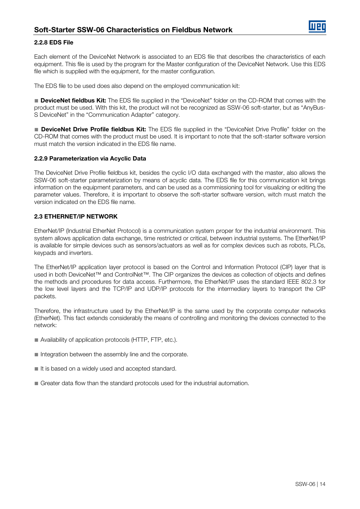

#### <span id="page-13-0"></span>2.2.8 EDS File

Each element of the DeviceNet Network is associated to an EDS file that describes the characteristics of each equipment. This file is used by the program for the Master configuration of the DeviceNet Network. Use this EDS file which is supplied with the equipment, for the master configuration.

The EDS file to be used does also depend on the employed communication kit:

■ **DeviceNet fieldbus Kit:** The EDS file supplied in the "DeviceNet" folder on the CD-ROM that comes with the product must be used. With this kit, the product will not be recognized as SSW-06 soft-starter, but as "AnyBus-S DeviceNet" in the "Communication Adapter" category.

■ DeviceNet Drive Profile fieldbus Kit: The EDS file supplied in the "DeviceNet Drive Profile" folder on the CD-ROM that comes with the product must be used. It is important to note that the soft-starter software version must match the version indicated in the EDS file name.

### <span id="page-13-1"></span>2.2.9 Parameterization via Acyclic Data

The DeviceNet Drive Profile fieldbus kit, besides the cyclic I/O data exchanged with the master, also allows the SSW-06 soft-starter parameterization by means of acyclic data. The EDS file for this communication kit brings information on the equipment parameters, and can be used as a commissioning tool for visualizing or editing the parameter values. Therefore, it is important to observe the soft-starter software version, witch must match the version indicated on the EDS file name.

### <span id="page-13-2"></span>2.3 ETHERNET/IP NETWORK

EtherNet/IP (Industrial EtherNet Protocol) is a communication system proper for the industrial environment. This system allows application data exchange, time restricted or critical, between industrial systems. The EtherNet/IP is available for simple devices such as sensors/actuators as well as for complex devices such as robots, PLCs, keypads and inverters.

The EtherNet/IP application layer protocol is based on the Control and Information Protocol (CIP) layer that is used in both DeviceNet™ and ControlNet™. The CIP organizes the devices as collection of objects and defines the methods and procedures for data access. Furthermore, the EtherNet/IP uses the standard IEEE 802.3 for the low level layers and the TCP/IP and UDP/IP protocols for the intermediary layers to transport the CIP packets.

Therefore, the infrastructure used by the EtherNet/IP is the same used by the corporate computer networks (EtherNet). This fact extends considerably the means of controlling and monitoring the devices connected to the network:

- Availability of application protocols (HTTP, FTP, etc.).
- Integration between the assembly line and the corporate.
- It is based on a widely used and accepted standard.
- Greater data flow than the standard protocols used for the industrial automation.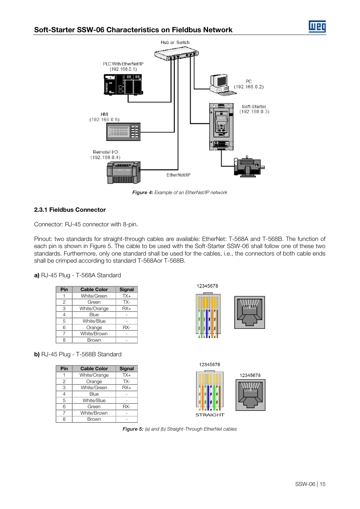

Figure 4: Example of an EtherNet/IP network

# <span id="page-14-0"></span>2.3.1 Fieldbus Connector

Connector: RJ-45 connector with 8-pin.

Pinout: two standards for straight-through cables are available: EtherNet: T-568A and T-568B. The function of each pin is shown in [Figure 5.](#page-14-1) The cable to be used with the Soft-Starter SSW-06 shall follow one of these two standards. Furthermore, only one standard shall be used for the cables, i.e., the connectors of both cable ends shall be crimped according to standard T-568Aor T-568B.

a) RJ-45 Plug - T-568A Standard

| Pin | <b>Cable Color</b> | <b>Signal</b> |
|-----|--------------------|---------------|
|     | White/Green        | $TX+$         |
| 2   | Green              | TX-           |
| 3   | White/Orange       | $RX+$         |
| 4   | Blue               |               |
| 5   | White/Blue         |               |
| 6   | Orange             | RX-           |
|     | White/Brown        |               |
|     | Brown              |               |

12345678



b) RJ-45 Plug - T-568B Standard

<span id="page-14-1"></span>

| Pin | <b>Cable Color</b> | <b>Signal</b> |
|-----|--------------------|---------------|
|     | White/Orange       | $TX+$         |
| 2   | Orange             | TX-           |
| 3   | White/Green        | $RX+$         |
| 4   | Blue               |               |
| 5   | White/Blue         |               |
| 6   | Green              | RX-           |
|     | White/Brown        |               |
| я   | Brown              |               |



Figure 5: (a) and (b) Straight-Through EtherNet cables

Ш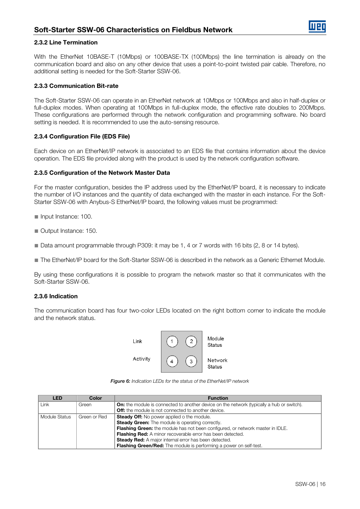#### <span id="page-15-0"></span>2.3.2 Line Termination

With the EtherNet 10BASE-T (10Mbps) or 100BASE-TX (100Mbps) the line termination is already on the communication board and also on any other device that uses a point-to-point twisted pair cable. Therefore, no additional setting is needed for the Soft-Starter SSW-06.

#### <span id="page-15-1"></span>2.3.3 Communication Bit-rate

The Soft-Starter SSW-06 can operate in an EtherNet network at 10Mbps or 100Mbps and also in half-duplex or full-duplex modes. When operating at 100Mbps in full-duplex mode, the effective rate doubles to 200Mbps. These configurations are performed through the network configuration and programming software. No board setting is needed. It is recommended to use the auto-sensing resource.

#### <span id="page-15-2"></span>2.3.4 Configuration File (EDS File)

Each device on an EtherNet/IP network is associated to an EDS file that contains information about the device operation. The EDS file provided along with the product is used by the network configuration software.

#### <span id="page-15-3"></span>2.3.5 Configuration of the Network Master Data

For the master configuration, besides the IP address used by the EtherNet/IP board, it is necessary to indicate the number of I/O instances and the quantity of data exchanged with the master in each instance. For the Soft-Starter SSW-06 with Anybus-S EtherNet/IP board, the following values must be programmed:

- Input Instance: 100.
- Output Instance: 150.
- Data amount programmable through P309: it may be 1, 4 or 7 words with 16 bits (2, 8 or 14 bytes).
- The EtherNet/IP board for the Soft-Starter SSW-06 is described in the network as a Generic Ethernet Module.

By using these configurations it is possible to program the network master so that it communicates with the Soft-Starter SSW-06.

#### <span id="page-15-4"></span>2.3.6 Indication

The communication board has four two-color LEDs located on the right bottom corner to indicate the module and the network status.



Figure 6: Indication LEDs for the status of the EtherNet/IP network

| <b>LED</b>    | Color        | <b>Function</b>                                                                                  |
|---------------|--------------|--------------------------------------------------------------------------------------------------|
| Link          | Green        | <b>On:</b> the module is connected to another device on the network (typically a hub or switch). |
|               |              | <b>Off:</b> the module is not connected to another device.                                       |
| Module Status | Green or Red | <b>Steady Off:</b> No power applied o the module.                                                |
|               |              | <b>Steady Green:</b> The module is operating correctly.                                          |
|               |              | Flashing Green: the module has not been configured, or network master in IDLE.                   |
|               |              | <b>Flashing Red:</b> A minor recoverable error has been detected.                                |
|               |              | <b>Steady Red:</b> A major internal error has been detected.                                     |
|               |              | <b>Flashing Green/Red:</b> The module is performing a power on self-test.                        |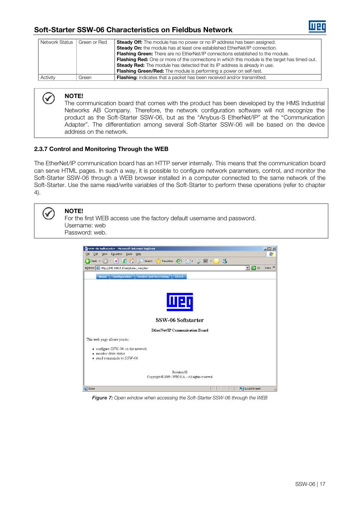

| Network Status | Green or Red | <b>Steady Off:</b> The module has no power or no IP address has been assigned.                        |
|----------------|--------------|-------------------------------------------------------------------------------------------------------|
|                |              | <b>Steady On:</b> the module has at least one established EtherNet/IP connection.                     |
|                |              | <b>Flashing Green:</b> There are no EtherNet/IP connections established to the module.                |
|                |              | <b>Flashing Red:</b> One or more of the connections in which this module is the target has timed out. |
|                |              | <b>Steady Red:</b> The module has detected that its IP address is already in use.                     |
|                |              | <b>Flashing Green/Red:</b> The module is performing a power on self-test.                             |
| Activity       | Green        | <b>Flashing:</b> indicates that a packet has been received and/or transmitted.                        |

# NOTE!

 $\checkmark$ 

The communication board that comes with the product has been developed by the HMS Industrial Networks AB Company. Therefore, the network configuration software will not recognize the product as the Soft-Starter SSW-06, but as the "Anybus-S EtherNet/IP" at the "Communication Adapter". The differentiation among several Soft-Starter SSW-06 will be based on the device address on the network.

# <span id="page-16-0"></span>2.3.7 Control and Monitoring Through the WEB

The EtherNet/IP communication board has an HTTP server internally. This means that the communication board can serve HTML pages. In such a way, it is possible to configure network parameters, control, and monitor the Soft-Starter SSW-06 through a WEB browser installed in a computer connected to the same network of the Soft-Starter. Use the same read/write variables of the Soft-Starter to perform these operations (refer to chapter [4\).](#page-28-0)



NOTE! For the first WEB access use the factory default username and password. Username: web

Password: web.



Figure 7: Open window when accessing the Soft-Starter SSW-06 through the WEB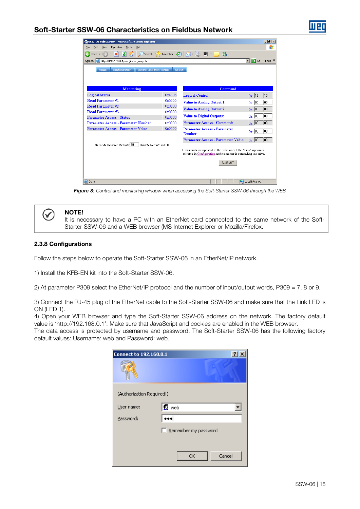| 55W-06 Softstarter - Microsoft Internet Explorer              |                                                                       |                                                                                                                                     | $-10x$                                                  |  |  |
|---------------------------------------------------------------|-----------------------------------------------------------------------|-------------------------------------------------------------------------------------------------------------------------------------|---------------------------------------------------------|--|--|
| Edit<br>Tools<br>File<br>View<br>Favorites<br>Help            |                                                                       |                                                                                                                                     | 47                                                      |  |  |
| ٢<br>×<br>Back -                                              | Search $\sqrt{\phantom{a}}$ Favorites $\binom{a}{b}$<br>$\boxed{w}$ - |                                                                                                                                     |                                                         |  |  |
| Address <sup>3</sup> http://192.168.0.1/web/index_weg.htm     |                                                                       |                                                                                                                                     | $\Rightarrow$ Go<br>$\mathbf{r}$<br>Links $\rightarrow$ |  |  |
| <b>Configuration</b><br><b>Control and Monitoring</b><br>Home | About                                                                 |                                                                                                                                     |                                                         |  |  |
|                                                               |                                                                       |                                                                                                                                     |                                                         |  |  |
|                                                               |                                                                       |                                                                                                                                     |                                                         |  |  |
| <b>Monitoring</b>                                             |                                                                       | Command                                                                                                                             |                                                         |  |  |
| <b>Logical Status</b>                                         | 0x410b                                                                | <b>Logical Control:</b>                                                                                                             | $0x$ 13<br> 13                                          |  |  |
| <b>Read Parameter#1</b>                                       | 0x0000                                                                | <b>Value to Analog Output 1:</b>                                                                                                    | loo<br> 00<br>0x                                        |  |  |
| <b>Read Parameter #2</b>                                      | 0x0000                                                                | <b>Value to Analog Output 2:</b>                                                                                                    | 100<br>$0x$ 00                                          |  |  |
| <b>Read Parameter#3</b>                                       | 0x0000                                                                |                                                                                                                                     |                                                         |  |  |
| <b>Parameter Access - Status</b>                              | 0x0000                                                                | <b>Value to Digital Outputs:</b>                                                                                                    | loo<br>loo<br>0x                                        |  |  |
| <b>Parameter Access - Parameter Number</b>                    | 0x0000                                                                | <b>Parameter Access - Command:</b>                                                                                                  | 00<br>$0x$ 00                                           |  |  |
| <b>Parameter Access - Parameter Value</b>                     | 0x0000                                                                | <b>Parameter Access - Parameter</b><br><b>Number:</b>                                                                               | loo<br>$0x$ 00                                          |  |  |
|                                                               |                                                                       | <b>Parameter Access - Parameter Value:</b>                                                                                          | loo<br>$0x$ 00                                          |  |  |
| Seconds Between Refresh: 10<br>Disable Refresh with ft        |                                                                       |                                                                                                                                     |                                                         |  |  |
|                                                               |                                                                       | Commands are updated in the drive only if the "Link" option is<br>selected in Configuration and no master is controlling the drive. |                                                         |  |  |
|                                                               |                                                                       |                                                                                                                                     |                                                         |  |  |
| <b>SUBMIT</b>                                                 |                                                                       |                                                                                                                                     |                                                         |  |  |
|                                                               |                                                                       |                                                                                                                                     |                                                         |  |  |
|                                                               |                                                                       |                                                                                                                                     |                                                         |  |  |
| 暑<br>Done                                                     |                                                                       |                                                                                                                                     | Local intranet                                          |  |  |

Figure 8: Control and monitoring window when accessing the Soft-Starter SSW-06 through the WEB

#### NOTE!

It is necessary to have a PC with an EtherNet card connected to the same network of the Soft-Starter SSW-06 and a WEB browser (MS Internet Explorer or Mozilla/Firefox.

### <span id="page-17-0"></span>2.3.8 Configurations

Follow the steps below to operate the Soft-Starter SSW-06 in an EtherNet/IP network.

1) Install the KFB-EN kit into the Soft-Starter SSW-06.

2) At parameter P309 select the EtherNet/IP protocol and the number of input/output words, P309 = 7, 8 or 9.

3) Connect the RJ-45 plug of the EtherNet cable to the Soft-Starter SSW-06 and make sure that the Link LED is ON (LED 1).

4) Open your WEB browser and type the Soft-Starter SSW-06 address on the network. The factory default value is 'http://192.168.0.1'. Make sure that JavaScript and cookies are enabled in the WEB browser.

The data access is protected by username and password. The Soft-Starter SSW-06 has the following factory default values: Username: web and Password: web.

| <b>Connect to 192.168.0.1</b> |                      |
|-------------------------------|----------------------|
|                               |                      |
| (Authorization Required!)     |                      |
| User name:                    | web                  |
| Password:                     |                      |
|                               | Remember my password |
|                               |                      |
|                               | Cancel<br>OK         |

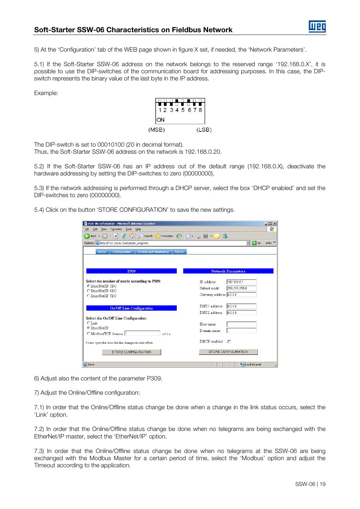5) At the 'Configuration' tab of the WEB page shown in figure X set, if needed, the 'Network Parameters'.

5.1) If the Soft-Starter SSW-06 address on the network belongs to the reserved range '192.168.0.X', it is possible to use the DIP-switches of the communication board for addressing purposes. In this case, the DIPswitch represents the binary value of the last byte in the IP address.

Example:



The DIP-switch is set to 00010100 (20 in decimal format).

Thus, the Soft-Starter SSW-06 address on the network is 192.168.0.20.

5.2) If the Soft-Starter SSW-06 has an IP address out of the default range (192.168.0.X), deactivate the hardware addressing by setting the DIP-switches to zero (00000000).

5.3) If the network addressing is performed through a DHCP server, select the box 'DHCP enabled' and set the DIP-switches to zero (00000000).

5.4) Click on the button 'STORE CONFIGURATION' to save the new settings.

| 55W-06 Softstarter - Microsoft Internet Explorer                                       |                               | $ \Box$ $\times$ |
|----------------------------------------------------------------------------------------|-------------------------------|------------------|
| Favorites<br>Tools<br>File<br>Edit<br>View<br>Help                                     |                               | 4                |
| Search $\sqrt{\phantom{a}}$ Favorites $\left( 4\right)$<br>이<br>$\mathbf{R}$<br>Back + | -88<br>$\boxed{W}$ -          |                  |
| Address <b>&amp;</b> http://192.168.0.1/web/index_weg.htm                              | $\Rightarrow$ Go<br>▾         | Links $"$        |
| Configuration<br><b>Control and Monitoring</b><br><b>About</b><br>Home                 |                               |                  |
|                                                                                        |                               |                  |
|                                                                                        |                               |                  |
|                                                                                        |                               |                  |
| P309                                                                                   | <b>Network Parameters</b>     |                  |
| Select the number of words according to P309:                                          | 192.168.0.1<br>IP address:    |                  |
| C EtherNet/IP 1I/O                                                                     | 255.255.255.0<br>Subnet mask: |                  |
| C EtherNet/IP 4I/O                                                                     |                               |                  |
| C EtherNet/IP 7I/O                                                                     | Gateway address: 0.0.0.0      |                  |
|                                                                                        | DNS1 address:<br>0.0.0.0      |                  |
| <b>On/Off Line Configuration</b>                                                       |                               |                  |
|                                                                                        | DNS2 address:<br>10.0.0.0     |                  |
| Select the On/Off Line Configuration:<br>$C$ Link                                      |                               |                  |
| C EtherNet/IP                                                                          | Host name:                    |                  |
| C Modbus/TCP Timeout: 1<br>x0.1s                                                       | Domain name:                  |                  |
|                                                                                        |                               |                  |
| Power cycle the drive for the changes to take effect.                                  | DHCP enabled:<br>Е            |                  |
| STORE CONFIGURATION                                                                    | STORE CONFIGURATION           |                  |
|                                                                                        |                               |                  |
|                                                                                        |                               |                  |
| e Done                                                                                 | Local intranet                |                  |

6) Adjust also the content of the parameter P309.

7) Adjust the Online/Offline configuration:

7.1) In order that the Online/Offline status change be done when a change in the link status occurs, select the 'Link' option.

7.2) In order that the Online/Offline status change be done when no telegrams are being exchanged with the EtherNet/IP master, select the 'EtherNet/IP' option.

7.3) In order that the Online/Offline status change be done when no telegrams at the SSW-06 are being exchanged with the Modbus Master for a certain period of time, select the 'Modbus' option and adjust the Timeout according to the application.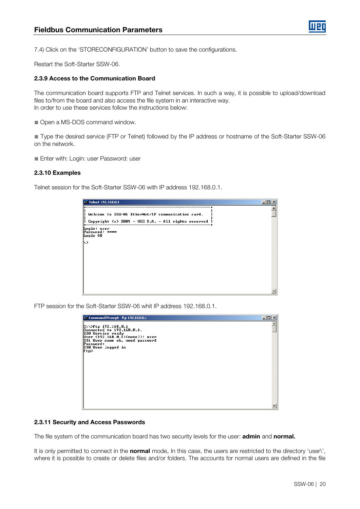

7.4) Click on the 'STORECONFIGURATION' button to save the configurations.

Restart the Soft-Starter SSW-06.

#### <span id="page-19-0"></span>2.3.9 Access to the Communication Board

The communication board supports FTP and Telnet services. In such a way, it is possible to upload/download files to/from the board and also access the file system in an interactive way. In order to use these services follow the instructions below:

■ Open a MS-DOS command window.

■ Type the desired service (FTP or Telnet) followed by the IP address or hostname of the Soft-Starter SSW-06 on the network.

■ Enter with: Login: user Password: user

#### <span id="page-19-1"></span>2.3.10 Examples

Telnet session for the Soft-Starter SSW-06 with IP address 192.168.0.1.

| $ \Box$ $\times$<br>ox Telnet 192.168.0.1                                                                  |  |  |
|------------------------------------------------------------------------------------------------------------|--|--|
| Welcome to SSW-06 EtherNet/IP communication card.<br>: Copyright (c) 2009 - WEG S.A. - All rights reserved |  |  |
| Login: user<br>Password: ****<br>Login OK<br>ℕ                                                             |  |  |
|                                                                                                            |  |  |
|                                                                                                            |  |  |
|                                                                                                            |  |  |

FTP session for the Soft-Starter SSW-06 whit IP address 192.168.0.1.

| ox Command Prompt - ftp 192.168.0.1                                                                                                                                     | 口口 |
|-------------------------------------------------------------------------------------------------------------------------------------------------------------------------|----|
| $C:\rightarrow$ ftp 192.168.0.1<br>Connected to 192.168.0.1.<br>220 Service ready<br>User $(192.168.0.1:$ (none)): user<br>331 User name ok, need password<br>Password: |    |
| 230 User logged in<br>ftp>                                                                                                                                              |    |
|                                                                                                                                                                         |    |
|                                                                                                                                                                         |    |
|                                                                                                                                                                         |    |
|                                                                                                                                                                         |    |

#### <span id="page-19-2"></span>2.3.11 Security and Access Passwords

The file system of the communication board has two security levels for the user: admin and normal.

It is only permitted to connect in the **normal** mode. In this case, the users are restricted to the directory 'user\', where it is possible to create or delete files and/or folders. The accounts for normal users are defined in the file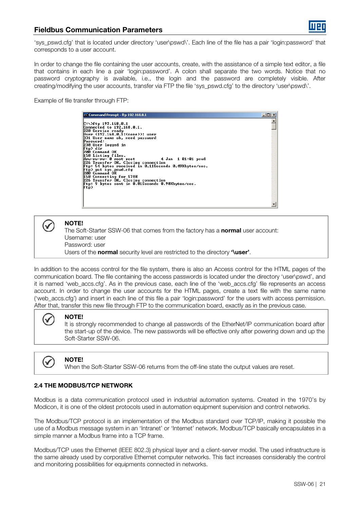

# Fieldbus Communication Parameters

'sys\_pswd.cfg' that is located under directory 'user\pswd\'. Each line of the file has a pair 'login:password' that corresponds to a user account.

In order to change the file containing the user accounts, create, with the assistance of a simple text editor, a file that contains in each line a pair 'login:password'. A colon shall separate the two words. Notice that no password cryptography is available, i.e., the login and the password are completely visible. After creating/modifying the user accounts, transfer via FTP the file 'sys\_pswd.cfg' to the directory 'user\pswd\'.

Example of file transfer through FTP:

Command Prompt - ftp 192.168.0.1 Guineented to 192.168.0.1<br>
C:\>ftp 192.168.0.1<br>
Connected to 192.168.0.1<br>
Connected to 192.168.0.1.<br>
220 Service ready<br>
192.168.0.1:(none)): user<br>
193.9 User 109ged in<br>
Password:<br>
230 User logged in<br>
290 Connand OK<br>
279 Us  $\overline{\square}$   $\times$  $\overline{\phantom{0}}$ 

NOTE!

The Soft-Starter SSW-06 that comes from the factory has a normal user account: Username: user Password: user Users of the normal security level are restricted to the directory 'luser'.

In addition to the access control for the file system, there is also an Access control for the HTML pages of the communication board. The file containing the access passwords is located under the directory 'user\pswd', and it is named 'web\_accs.cfg'. As in the previous case, each line of the 'web\_accs.cfg' file represents an access account. In order to change the user accounts for the HTML pages, create a text file with the same name ('web\_accs.cfg') and insert in each line of this file a pair 'login:password' for the users with access permission. After that, transfer this new file through FTP to the communication board, exactly as in the previous case.



 $\checkmark$ 

#### NOTE!

It is strongly recommended to change all passwords of the EtherNet/IP communication board after the start-up of the device. The new passwords will be effective only after powering down and up the Soft-Starter SSW-06.



NOTE!

When the Soft-Starter SSW-06 returns from the off-line state the output values are reset.

# <span id="page-20-0"></span>2.4 THE MODBUS/TCP NETWORK

Modbus is a data communication protocol used in industrial automation systems. Created in the 1970's by Modicon, it is one of the oldest protocols used in automation equipment supervision and control networks.

The Modbus/TCP protocol is an implementation of the Modbus standard over TCP/IP, making it possible the use of a Modbus message system in an 'Intranet' or 'Internet' network. Modbus/TCP basically encapsulates in a simple manner a Modbus frame into a TCP frame.

Modbus/TCP uses the Ethernet (IEEE 802.3) physical layer and a client-server model. The used infrastructure is the same already used by corporative Ethernet computer networks. This fact increases considerably the control and monitoring possibilities for equipments connected in networks.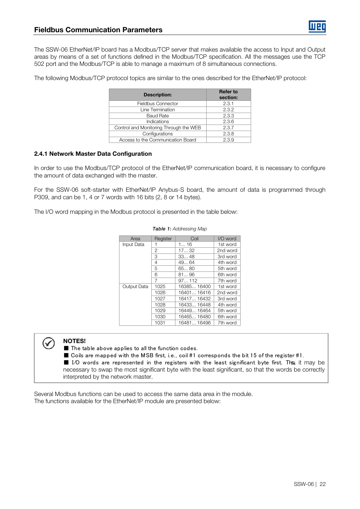The SSW-06 EtherNet/IP board has a Modbus/TCP server that makes available the access to Input and Output areas by means of a set of functions defined in the Modbus/TCP specification. All the messages use the TCP 502 port and the Modbus/TCP is able to manage a maximum of 8 simultaneous connections.

The following Modbus/TCP protocol topics are similar to the ones described for the EtherNet/IP protocol:

| <b>Description:</b>                    | <b>Refer to</b><br>section: |
|----------------------------------------|-----------------------------|
| <b>Fieldbus Connector</b>              | 2.3.1                       |
| Line Termination                       | 2.3.2                       |
| <b>Baud Rate</b>                       | 2.3.3                       |
| Indications                            | 2.3.6                       |
| Control and Monitoring Through the WEB | 2.3.7                       |
| Configurations                         | 2.3.8                       |
| Access to the Communication Board      | 2.3.9                       |

### <span id="page-21-0"></span>2.4.1 Network Master Data Configuration

In order to use the Modbus/TCP protocol of the EtherNet/IP communication board, it is necessary to configure the amount of data exchanged with the master.

For the SSW-06 soft-starter with EtherNet/IP Anybus-S board, the amount of data is programmed through P309, and can be 1, 4 or 7 words with 16 bits (2, 8 or 14 bytes).

The I/O word mapping in the Modbus protocol is presented in the table below:

| Area        | Register | Coil        | I/O word |
|-------------|----------|-------------|----------|
| Input Data  | 1        | 116         | 1st word |
|             | 2        | 1732        | 2nd word |
|             | З        | 3348        | 3rd word |
|             | 4        | 4964        | 4th word |
|             | 5        | 6580        | 5th word |
|             | 6        | 8196        | 6th word |
|             | 7        | 97112       | 7th word |
| Output Data | 1025     | 16385 16400 | 1st word |
|             | 1026     | 16401 16416 | 2nd word |
|             | 1027     | 16417 16432 | 3rd word |
|             | 1028     | 16433 16448 | 4th word |
|             | 1029     | 16449 16464 | 5th word |
|             | 1030     | 16465 16480 | 6th word |
|             | 1031     | 16481 16496 | 7th word |

#### Table 1: Addressing Map



# NOTES!

■ The table above applies to all the function codes.

■ Coils are mapped with the MSB first, i.e., coil #1 corresponds the bit 15 of the register #1.

■ I/O words are represented in the registers with the least significant byte first. Th&, it may be necessary to swap the most significant byte with the least significant, so that the words be correctly interpreted by the network master.

Several Modbus functions can be used to access the same data area in the module. The functions available for the EtherNet/IP module are presented below: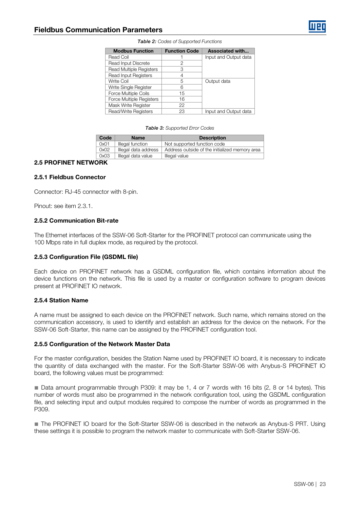| <b>Modbus Function</b>         | <b>Function Code</b> | Associated with       |
|--------------------------------|----------------------|-----------------------|
| Read Coil                      |                      | Input and Output data |
| Read Input Discrete            | 2                    |                       |
| <b>Read Multiple Registers</b> | З                    |                       |
| <b>Read Input Registers</b>    |                      |                       |
| Write Coil                     | 5                    | Output data           |
| Write Single Register          | 6                    |                       |
| Force Multiple Coils           | 15                   |                       |
| Force Multiple Registers       | 16                   |                       |
| Mask Write Register            | 22                   |                       |
| Read/Write Registers           | 23                   | Input and Output data |

#### Table 2: Codes of Supported Functions

#### Table 3: Supported Error Codes

| Code | <b>Name</b>          | <b>Description</b>                             |
|------|----------------------|------------------------------------------------|
| 0x01 | Illegal function     | Not supported function code                    |
| 0x02 | Illegal data address | Address outside of the initialized memory area |
| 0x03 | Illegal data value   | Illegal value                                  |

### 2.5 PROFINET NETWORK

#### 2.5.1 Fieldbus Connector

Connector: RJ-45 connector with 8-pin.

Pinout: see item [2.3.1.](#page-14-0)

#### 2.5.2 Communication Bit-rate

The Ethernet interfaces of the SSW-06 Soft-Starter for the PROFINET protocol can communicate using the 100 Mbps rate in full duplex mode, as required by the protocol.

#### 2.5.3 Configuration File (GSDML file)

Each device on PROFINET network has a GSDML configuration file, which contains information about the device functions on the network. This file is used by a master or configuration software to program devices present at PROFINET IO network.

#### 2.5.4 Station Name

A name must be assigned to each device on the PROFINET network. Such name, which remains stored on the communication accessory, is used to identify and establish an address for the device on the network. For the SSW-06 Soft-Starter, this name can be assigned by the PROFINET configuration tool.

#### 2.5.5 Configuration of the Network Master Data

For the master configuration, besides the Station Name used by PROFINET IO board, it is necessary to indicate the quantity of data exchanged with the master. For the Soft-Starter SSW-06 with Anybus-S PROFINET IO board, the following values must be programmed:

■ Data amount programmable through P309: it may be 1, 4 or 7 words with 16 bits (2, 8 or 14 bytes). This number of words must also be programmed in the network configuration tool, using the GSDML configuration file, and selecting input and output modules required to compose the number of words as programmed in the P309.

■ The PROFINET IO board for the Soft-Starter SSW-06 is described in the network as Anybus-S PRT. Using these settings it is possible to program the network master to communicate with Soft-Starter SSW-06.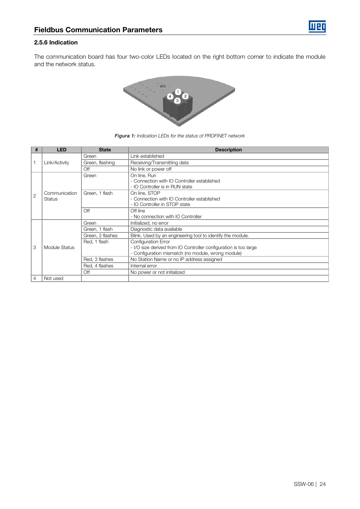

#### 2.5.6 Indication

The communication board has four two-color LEDs located on the right bottom corner to indicate the module and the network status.



| <b>Figura 1:</b> Indication LEDs for the status of PROFINET network |  |
|---------------------------------------------------------------------|--|
|---------------------------------------------------------------------|--|

| #              | <b>LED</b>    | <b>State</b>     | <b>Description</b>                                               |
|----------------|---------------|------------------|------------------------------------------------------------------|
| $\mathbf{1}$   |               | Green            | Link established                                                 |
|                | Link/Activity | Green, flashing  | Receiving/Transmitting data                                      |
|                |               | Off              | No link or power off                                             |
|                |               | Green            | On line, Run                                                     |
|                |               |                  | - Connection with IO Controller established                      |
|                |               |                  | - IO Controller is in RUN state                                  |
| $\overline{2}$ | Communication | Green, 1 flash   | On line, STOP                                                    |
|                | Status        |                  | - Connection with IO Controller established                      |
|                |               |                  | - IO Controller in STOP state                                    |
|                |               | Off              | Off line                                                         |
|                |               |                  | - No connection with IO Controller                               |
|                | Module Status | Green            | Initialized, no error                                            |
|                |               | Green, 1 flash   | Diagnostic data available                                        |
|                |               | Green, 2 flashes | Blink. Used by an engineering tool to identify the module.       |
|                |               | Red, 1 flash     | <b>Configuration Error</b>                                       |
| 3              |               |                  | - I/O size derived from IO Controller configuration is too large |
|                |               |                  | - Configuration mismatch (no module, wrong module)               |
|                |               | Red, 3 flashes   | No Station Name or no IP address assigned                        |
|                |               | Red, 4 flashes   | Internal error                                                   |
|                |               | Off              | No power or not initialized                                      |
| $\overline{4}$ | Not used      |                  |                                                                  |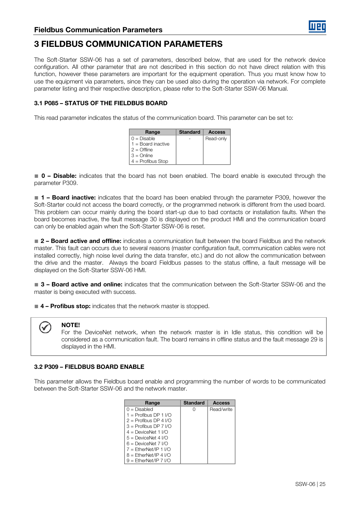

# <span id="page-24-0"></span>3 FIELDBUS COMMUNICATION PARAMETERS

The Soft-Starter SSW-06 has a set of parameters, described below, that are used for the network device configuration. All other parameter that are not described in this section do not have direct relation with this function, however these parameters are important for the equipment operation. Thus you must know how to use the equipment via parameters, since they can be used also during the operation via network. For complete parameter listing and their respective description, please refer to the Soft-Starter SSW-06 Manual.

# <span id="page-24-1"></span>3.1 P085 – STATUS OF THE FIELDBUS BOARD

This read parameter indicates the status of the communication board. This parameter can be set to:

| Range                | <b>Standard</b> | <b>Access</b> |
|----------------------|-----------------|---------------|
| $0 = Disable$        |                 | Read-only     |
| $1 =$ Board inactive |                 |               |
| $2 =$ Offline        |                 |               |
| $3 =$ Online         |                 |               |
| $4 =$ Profibus Stop  |                 |               |

■ 0 – Disable: indicates that the board has not been enabled. The board enable is executed through the parameter P309.

■ 1 – Board inactive: indicates that the board has been enabled through the parameter P309, however the Soft-Starter could not access the board correctly, or the programmed network is different from the used board. This problem can occur mainly during the board start-up due to bad contacts or installation faults. When the board becomes inactive, the fault message 30 is displayed on the product HMI and the communication board can only be enabled again when the Soft-Starter SSW-06 is reset.

■ 2 – Board active and offline: indicates a communication fault between the board Fieldbus and the network master. This fault can occurs due to several reasons (master configuration fault, communication cables were not installed correctly, high noise level during the data transfer, etc.) and do not allow the communication between the drive and the master. Always the board Fieldbus passes to the status offline, a fault message will be displayed on the Soft-Starter SSW-06 HMI.

■ 3 – Board active and online: indicates that the communication between the Soft-Starter SSW-06 and the master is being executed with success.

■ 4 – Profibus stop: indicates that the network master is stopped.

# NOTE!

For the DeviceNet network, when the network master is in Idle status, this condition will be considered as a communication fault. The board remains in offline status and the fault message 29 is displayed in the HMI.

# <span id="page-24-2"></span>3.2 P309 – FIELDBUS BOARD ENABLE

This parameter allows the Fieldbus board enable and programming the number of words to be communicated between the Soft-Starter SSW-06 and the network master.

| Range                   | <b>Standard</b> | Access     |
|-------------------------|-----------------|------------|
| $0 = Disable$ d         |                 | Read/write |
| 1 = Profibus DP 1 $1/0$ |                 |            |
| $2 =$ Profibus DP 4 I/O |                 |            |
| $3 =$ Profibus DP 7 I/O |                 |            |
| $4 =$ DeviceNet 1 I/O   |                 |            |
| $5 =$ DeviceNet 4 I/O   |                 |            |
| $6 =$ DeviceNet 7 I/O   |                 |            |
| $7 =$ EtherNet/IP 1 I/O |                 |            |
| $B =$ EtherNet/IP 4 I/O |                 |            |
| $9 =$ EtherNet/IP 7 I/O |                 |            |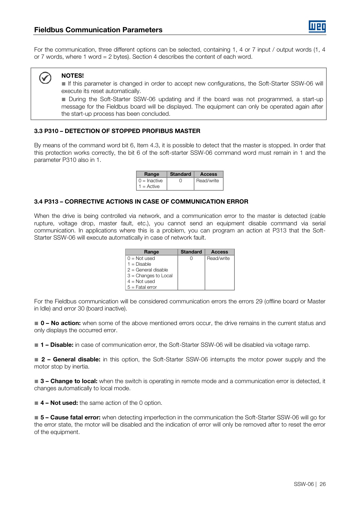

For the communication, three different options can be selected, containing 1, 4 or 7 input / output words (1, 4 or 7 words, where 1 word = 2 bytes). Section 4 describes the content of each word.

#### NOTES! ✓

■ If this parameter is changed in order to accept new configurations, the Soft-Starter SSW-06 will execute its reset automatically.

■ During the Soft-Starter SSW-06 updating and if the board was not programmed, a start-up message for the Fieldbus board will be displayed. The equipment can only be operated again after the start-up process has been concluded.

# <span id="page-25-0"></span>3.3 P310 – DETECTION OF STOPPED PROFIBUS MASTER

By means of the command word bit 6, Item 4.3, it is possible to detect that the master is stopped. In order that this protection works correctly, the bit 6 of the soft-starter SSW-06 command word must remain in 1 and the parameter P310 also in 1.

| Range                      | <b>Standard</b>  | <b>Access</b> |
|----------------------------|------------------|---------------|
| $\vert 0 \vert$ = Inactive | $\left( \right)$ | Read/write    |
| $1 =$ Active               |                  |               |

### <span id="page-25-1"></span>3.4 P313 – CORRECTIVE ACTIONS IN CASE OF COMMUNICATION ERROR

When the drive is being controlled via network, and a communication error to the master is detected (cable rupture, voltage drop, master fault, etc.), you cannot send an equipment disable command via serial communication. In applications where this is a problem, you can program an action at P313 that the Soft-Starter SSW-06 will execute automatically in case of network fault.

| Range                  | <b>Standard</b> | <b>Access</b> |
|------------------------|-----------------|---------------|
| $0 = Not used$         |                 | Read/write    |
| $1 = Disable$          |                 |               |
| $2 =$ General disable  |                 |               |
| $3$ = Changes to Local |                 |               |
| $4 = Not used$         |                 |               |
| $5 =$ Fatal error      |                 |               |

For the Fieldbus communication will be considered communication errors the errors 29 (offline board or Master in Idle) and error 30 (board inactive).

■ 0 – No action: when some of the above mentioned errors occur, the drive remains in the current status and only displays the occurred error.

■ 1 – Disable: in case of communication error, the Soft-Starter SSW-06 will be disabled via voltage ramp.

■ 2 – General disable: in this option, the Soft-Starter SSW-06 interrupts the motor power supply and the motor stop by inertia.

■ 3 – Change to local: when the switch is operating in remote mode and a communication error is detected, it changes automatically to local mode.

■ 4 – Not used: the same action of the 0 option.

■ 5 – Cause fatal error: when detecting imperfection in the communication the Soft-Starter SSW-06 will go for the error state, the motor will be disabled and the indication of error will only be removed after to reset the error of the equipment.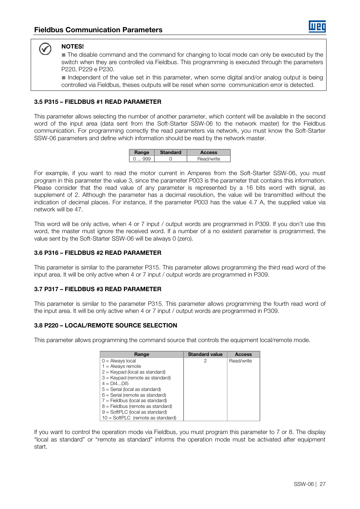# NOTES!

V

■ The disable command and the command for changing to local mode can only be executed by the switch when they are controlled via Fieldbus. This programming is executed through the parameters P220, P229 e P230.

■ Independent of the value set in this parameter, when some digital and/or analog output is being controlled via Fieldbus, theses outputs will be reset when some communication error is detected.

# <span id="page-26-0"></span>3.5 P315 – FIELDBUS #1 READ PARAMETER

This parameter allows selecting the number of another parameter, which content will be available in the second word of the input area (data sent from the Soft-Starter SSW-06 to the network master) for the Fieldbus communication. For programming correctly the read parameters via network, you must know the Soft-Starter SSW-06 parameters and define which information should be read by the network master.

| Range | <b>Standard</b> | Access     |
|-------|-----------------|------------|
| aaa   |                 | Read/write |

For example, if you want to read the motor current in Amperes from the Soft-Starter SSW-06, you must program in this parameter the value 3, since the parameter P003 is the parameter that contains this information. Please consider that the read value of any parameter is represented by a 16 bits word with signal, as supplement of 2. Although the parameter has a decimal resolution, the value will be transmitted without the indication of decimal places. For instance, if the parameter P003 has the value 4.7 A, the supplied value via network will be 47.

This word will be only active, when 4 or 7 input / output words are programmed in P309. If you don't use this word, the master must ignore the received word. If a number of a no existent parameter is programmed, the value sent by the Soft-Starter SSW-06 will be always 0 (zero).

# <span id="page-26-1"></span>3.6 P316 – FIELDBUS #2 READ PARAMETER

This parameter is similar to the parameter P315. This parameter allows programming the third read word of the input area. It will be only active when 4 or 7 input / output words are programmed in P309.

# <span id="page-26-2"></span>3.7 P317 – FIELDBUS #3 READ PARAMETER

This parameter is similar to the parameter P315. This parameter allows programming the fourth read word of the input area. It will be only active when 4 or 7 input / output words are programmed in P309.

# <span id="page-26-3"></span>3.8 P220 – LOCAL/REMOTE SOURCE SELECTION

This parameter allows programming the command source that controls the equipment local/remote mode.

| Range                               | <b>Standard value</b> | Access     |
|-------------------------------------|-----------------------|------------|
| $0 =$ Always local                  | 2                     | Read/write |
| $1 =$ Always remote                 |                       |            |
| $2 =$ Keypad (local as standard)    |                       |            |
| 3 = Keypad (remote as standard)     |                       |            |
| $4 = D[4D]5$                        |                       |            |
| $5 =$ Serial (local as standard)    |                       |            |
| $6 =$ Serial (remote as standard)   |                       |            |
| $7 =$ Fieldbus (local as standard)  |                       |            |
| $8$ = Fieldbus (remote as standard) |                       |            |
| $9 = SoftPLC$ (local as standard)   |                       |            |
| $10 = SoftPLC$ (remote as standard) |                       |            |

If you want to control the operation mode via Fieldbus, you must program this parameter to 7 or 8. The display "local as standard" or "remote as standard" informs the operation mode must be activated after equipment start.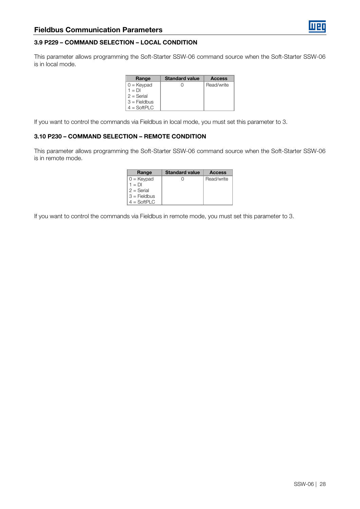# <span id="page-27-0"></span>3.9 P229 – COMMAND SELECTION – LOCAL CONDITION

This parameter allows programming the Soft-Starter SSW-06 command source when the Soft-Starter SSW-06 is in local mode.

| Range          | <b>Standard value</b> | <b>Access</b> |
|----------------|-----------------------|---------------|
| $0 =$ Keypad   |                       | Read/write    |
| $1 = DI$       |                       |               |
| $2 =$ Serial   |                       |               |
| $3$ = Fieldbus |                       |               |
| $4 = SoftPLC$  |                       |               |

If you want to control the commands via Fieldbus in local mode, you must set this parameter to 3.

# <span id="page-27-1"></span>3.10 P230 – COMMAND SELECTION – REMOTE CONDITION

This parameter allows programming the Soft-Starter SSW-06 command source when the Soft-Starter SSW-06 is in remote mode.

| Range          | <b>Standard value</b> | <b>Access</b> |
|----------------|-----------------------|---------------|
| $0 =$ Keypad   |                       | Read/write    |
| $1 = DI$       |                       |               |
| $2 =$ Serial   |                       |               |
| $3$ = Fieldbus |                       |               |
| $4 = SoftPLC$  |                       |               |

If you want to control the commands via Fieldbus in remote mode, you must set this parameter to 3.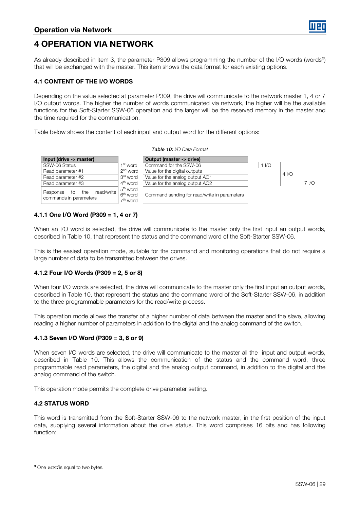# <span id="page-28-0"></span>4 OPERATION VIA NETWORK

As already described in item [3,](#page-24-0) the parameter P[3](#page-28-7)09 allows programming the number of the I/O words (words<sup>3</sup>) that will be exchanged with the master. This item shows the data format for each existing options.

# <span id="page-28-1"></span>4.1 CONTENT OF THE I/O WORDS

Depending on the value selected at parameter P309, the drive will communicate to the network master 1, 4 or 7 I/O output words. The higher the number of words communicated via network, the higher will be the available functions for the Soft-Starter SSW-06 operation and the larger will be the reserved memory in the master and the time required for the communication.

Table below shows the content of each input and output word for the different options:

<span id="page-28-6"></span>

| Input (drive -> master)                                       |                                                            | Output (master -> drive)                     |                |                   |                  |
|---------------------------------------------------------------|------------------------------------------------------------|----------------------------------------------|----------------|-------------------|------------------|
| SSW-06 Status                                                 | 1 <sup>st</sup> word                                       | Command for the SSW-06                       | 1 <sub>1</sub> |                   |                  |
| Read parameter #1                                             | $2nd$ word<br>Value for the digital outputs                |                                              |                | 4 <sub>1</sub> /O |                  |
| Read parameter #2                                             | 3 <sup>rd</sup> word                                       | Value for the analog output AO1              |                |                   |                  |
| Read parameter #3                                             | $4th$ word                                                 | Value for the analog output AO2              |                |                   | 7 V <sub>O</sub> |
| read/write<br>the<br>Response<br>to<br>commands in parameters | 5 <sup>th</sup> word<br>6 <sup>th</sup> word<br>$7th$ word | Command sending for read/write in parameters |                |                   |                  |

#### Table 10: I/O Data Format

### <span id="page-28-2"></span>4.1.1 One I/O Word (P309 = 1, 4 or 7)

When an I/O word is selected, the drive will communicate to the master only the first input an output words, described in [Table 10,](#page-28-6) that represent the status and the command word of the Soft-Starter SSW-06.

This is the easiest operation mode, suitable for the command and monitoring operations that do not require a large number of data to be transmitted between the drives.

# <span id="page-28-3"></span>4.1.2 Four I/O Words (P309 = 2, 5 or 8)

When four I/O words are selected, the drive will communicate to the master only the first input an output words, described in [Table 10,](#page-28-6) that represent the status and the command word of the Soft-Starter SSW-06, in addition to the three programmable parameters for the read/write process.

This operation mode allows the transfer of a higher number of data between the master and the slave, allowing reading a higher number of parameters in addition to the digital and the analog command of the switch.

# <span id="page-28-4"></span>4.1.3 Seven I/O Word (P309 = 3, 6 or 9)

When seven I/O words are selected, the drive will communicate to the master all the input and output words, described in [Table 10.](#page-28-6) This allows the communication of the status and the command word, three programmable read parameters, the digital and the analog output command, in addition to the digital and the analog command of the switch.

This operation mode permits the complete drive parameter setting.

# <span id="page-28-5"></span>4.2 STATUS WORD

This word is transmitted from the Soft-Starter SSW-06 to the network master, in the first position of the input data, supplying several information about the drive status. This word comprises 16 bits and has following function:

<u>.</u>

<span id="page-28-7"></span><sup>&</sup>lt;sup>3</sup> One *word* is equal to two bytes.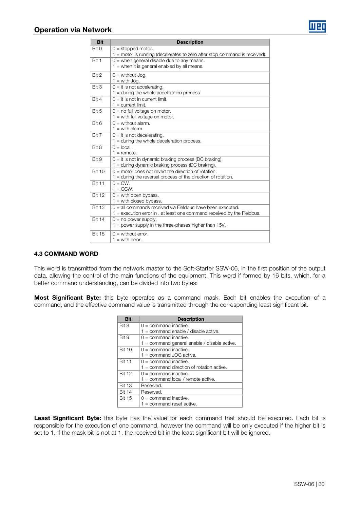

| <b>Bit</b>    | <b>Description</b>                                                         |
|---------------|----------------------------------------------------------------------------|
| Bit 0         | $0 =$ stopped motor.                                                       |
|               | 1 = motor is running (decelerates to zero after stop command is received). |
| Bit 1         | $0 =$ when general disable due to any means.                               |
|               | $1 =$ when it is general enabled by all means.                             |
| Bit 2         | $0 =$ without Jog.                                                         |
|               | $1 =$ with Jog.                                                            |
| Bit 3         | $0 = it$ is not accelerating.                                              |
|               | $1 =$ during the whole acceleration process.                               |
| Bit 4         | $0 =$ it is not in current limit.                                          |
|               | $1 =$ current limit.                                                       |
| Bit 5         | $0 =$ no full voltage on motor.                                            |
|               | $1 =$ with full voltage on motor.                                          |
| Bit 6         | $0 =$ without alarm.                                                       |
|               | $1 =$ with alarm.                                                          |
| Bit 7         | $0 = it$ is not decelerating.                                              |
|               | $1 =$ during the whole deceleration process.                               |
| Bit 8         | $0 =$ local.                                                               |
|               | $1 =$ remote.                                                              |
| Bit 9         | $0 = it$ is not in dynamic braking process (DC braking).                   |
|               | $1 =$ during dynamic braking process (DC braking).                         |
| <b>Bit 10</b> | $0 =$ motor does not revert the direction of rotation.                     |
|               | $1$ = during the reversal process of the direction of rotation.            |
| <b>Bit 11</b> | $0 = CW$                                                                   |
|               | $1 = CCW$ .                                                                |
| <b>Bit 12</b> | $0 =$ with open bypass.                                                    |
|               | $1 =$ with closed bypass.                                                  |
| <b>Bit 13</b> | $0 =$ all commands received via Fieldbus have been executed.               |
| <b>Bit 14</b> | $1 =$ execution error in . at least one command received by the Fieldbus.  |
|               | $0 = no power supply.$                                                     |
|               | 1 = power supply in the three-phases higher than 15V.                      |
| <b>Bit 15</b> | $0 =$ without error.                                                       |
|               | $1 =$ with error.                                                          |

# <span id="page-29-0"></span>4.3 COMMAND WORD

This word is transmitted from the network master to the Soft-Starter SSW-06, in the first position of the output data, allowing the control of the main functions of the equipment. This word if formed by 16 bits, which, for a better command understanding, can be divided into two bytes:

Most Significant Byte: this byte operates as a command mask. Each bit enables the execution of a command, and the effective command value is transmitted through the corresponding least significant bit.

| <b>Bit</b>    | <b>Description</b>                             |
|---------------|------------------------------------------------|
| Bit 8         | $0 =$ command inactive.                        |
|               | $1 =$ command enable / disable active.         |
| Bit 9         | $0 =$ command inactive.                        |
|               | $1 =$ command general enable / disable active. |
| <b>Bit 10</b> | $0 =$ command inactive.                        |
|               | $1 =$ command JOG active.                      |
| <b>Bit 11</b> | $0 =$ command inactive.                        |
|               | $1 =$ command direction of rotation active.    |
| <b>Bit 12</b> | $0 =$ command inactive.                        |
|               | $1 =$ command local / remote active.           |
| <b>Bit 13</b> | Reserved.                                      |
| <b>Bit 14</b> | Reserved.                                      |
| <b>Bit 15</b> | $0 =$ command inactive.                        |
|               | $1 =$ command reset active.                    |

Least Significant Byte: this byte has the value for each command that should be executed. Each bit is responsible for the execution of one command, however the command will be only executed if the higher bit is set to 1. If the mask bit is not at 1, the received bit in the least significant bit will be ignored.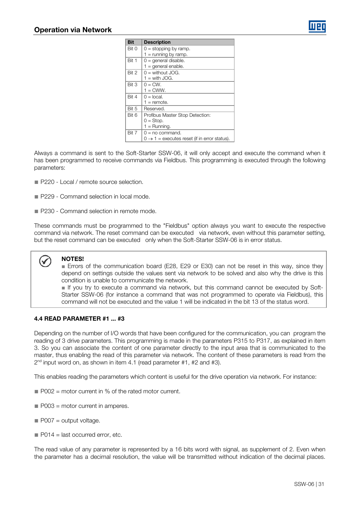

| <b>Bit</b> | <b>Description</b>                                       |
|------------|----------------------------------------------------------|
| Bit 0      | $0 =$ stopping by ramp.                                  |
|            | $1 =$ running by ramp.                                   |
| Bit 1      | $0 =$ qeneral disable.                                   |
|            | $1 =$ general enable.                                    |
| Bit 2      | $Q =$ without JOG.                                       |
|            | $1 =$ with JOG.                                          |
| Bit 3      | $0 = CW$ .                                               |
|            | $1 =$ CWW.                                               |
| Bit 4      | $0 =$ local.                                             |
|            | $1 =$ remote.                                            |
| Bit 5      | Reserved.                                                |
| Bit 6      | Profibus Master Stop Detection:                          |
|            | $0 = Stop$ .                                             |
|            | $1 =$ Running.                                           |
| Bit 7      | $0 = no$ command.                                        |
|            | $0 \rightarrow 1$ = executes reset (if in error status). |

Always a command is sent to the Soft-Starter SSW-06, it will only accept and execute the command when it has been programmed to receive commands via Fieldbus. This programming is executed through the following parameters:

- P220 Local / remote source selection.
- P229 Command selection in local mode.
- P230 Command selection in remote mode.

These commands must be programmed to the "Fieldbus" option always you want to execute the respective command via network. The reset command can be executed via network, even without this parameter setting, but the reset command can be executed only when the Soft-Starter SSW-06 is in error status.

# NOTES!

■ Errors of the communication board (E28, E29 or E30) can not be reset in this way, since they depend on settings outside the values sent via network to be solved and also why the drive is this condition is unable to communicate the network.

■ If you try to execute a command via network, but this command cannot be executed by Soft-Starter SSW-06 (for instance a command that was not programmed to operate via Fieldbus), this command will not be executed and the value 1 will be indicated in the bit 13 of the status word.

#### <span id="page-30-0"></span>4.4 READ PARAMETER #1 ... #3

Depending on the number of I/O words that have been configured for the communication, you can program the reading of 3 drive parameters. This programming is made in the parameters P315 to P317, as explained in item [3.](#page-24-0) So you can associate the content of one parameter directly to the input area that is communicated to the master, thus enabling the read of this parameter via network. The content of these parameters is read from the 2<sup>nd</sup> input word on, as shown in item 4.1 (read parameter #1, #2 and #3).

This enables reading the parameters which content is useful for the drive operation via network. For instance:

- $\blacksquare$  P002 = motor current in % of the rated motor current.
- P003 = motor current in amperes.
- $\blacksquare$  P007 = output voltage.
- $\blacksquare$  P014 = last occurred error, etc.

The read value of any parameter is represented by a 16 bits word with signal, as supplement of 2. Even when the parameter has a decimal resolution, the value will be transmitted without indication of the decimal places.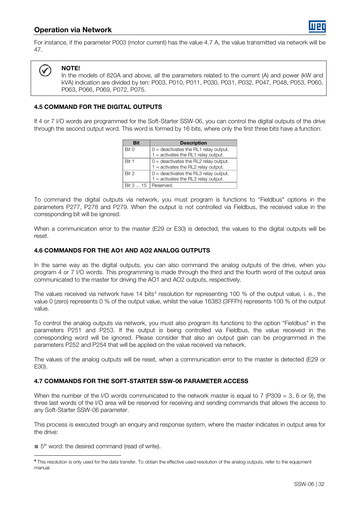For instance, if the parameter P003 (motor current) has the value 4.7 A, the value transmitted via network will be 47.



# NOTE!

l

In the models of 820A and above, all the parameters related to the current (A) and power (kW and kVA) indication are divided by ten: P003, P010, P011, P030, P031, P032, P047, P048, P053, P060, P063, P066, P069, P072, P075.

# <span id="page-31-0"></span>4.5 COMMAND FOR THE DIGITAL OUTPUTS

If 4 or 7 I/O words are programmed for the Soft-Starter SSW-06, you can control the digital outputs of the drive through the second output word. This word is formed by 16 bits, where only the first three bits have a function:

| Bit       | <b>Description</b>                      |  |
|-----------|-----------------------------------------|--|
| Bit 0     | $0 =$ deactivates the RL1 relay output. |  |
|           | $1 =$ activates the RL1 relay output.   |  |
| Bit 1     | $0 =$ deactivates the RL2 relay output. |  |
|           | $1 =$ activates the RL2 relay output.   |  |
| Rit 2     | $0 =$ deactivates the RL3 relay output. |  |
|           | $1 =$ activates the RL3 relay output.   |  |
| Bit 3  15 | Reserved.                               |  |

To command the digital outputs via network, you must program is functions to "Fieldbus" options in the parameters P277, P278 and P279. When the output is not controlled via Fieldbus, the received value in the corresponding bit will be ignored.

When a communication error to the master (E29 or E30) is detected, the values to the digital outputs will be reset.

### <span id="page-31-1"></span>4.6 COMMANDS FOR THE AO1 AND AO2 ANALOG OUTPUTS

In the same way as the digital outputs, you can also command the analog outputs of the drive, when you program 4 or 7 I/O words. This programming is made through the third and the fourth word of the output area communicated to the master for driving the AO1 and AO2 outputs, respectively.

The values received via network have  $14$  $14$  bits<sup>4</sup> resolution for representing  $100\%$  of the output value, i. e., the value 0 (zero) represents 0 % of the output value, whilst the value 16383 (3FFFh) represents 100 % of the output value.

To control the analog outputs via network, you must also program its functions to the option "Fieldbus" in the parameters P251 and P253. If the output is being controlled via Fieldbus, the value received in the corresponding word will be ignored. Please consider that also an output gain can be programmed in the parameters P252 and P254 that will be applied on the value received via network.

The values of the analog outputs will be reset, when a communication error to the master is detected (E29 or E30).

# <span id="page-31-2"></span>4.7 COMMANDS FOR THE SOFT-STARTER SSW-06 PARAMETER ACCESS

When the number of the I/O words communicated to the network master is equal to 7 (P309 = 3, 6 or 9), the three last words of the I/O area will be reserved for receiving and sending commands that allows the access to any Soft-Starter SSW-06 parameter.

This process is executed trough an enquiry and response system, where the master indicates in output area for the drive:

 $\blacksquare$  5<sup>th</sup> word: the desired command (read of write).

<span id="page-31-3"></span><sup>&</sup>lt;u>.</u> <sup>4</sup> This resolution is only used for the data transfer. To obtain the effective used resolution of the analog outputs, refer to the equipment manual.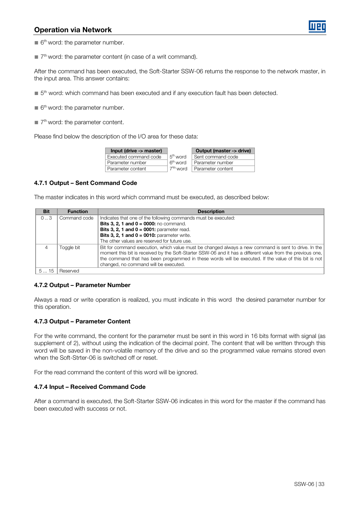

- $\blacksquare$  6<sup>th</sup> word: the parameter number.
- 7<sup>th</sup> word: the parameter content (in case of a writ command).

After the command has been executed, the Soft-Starter SSW-06 returns the response to the network master, in the input area. This answer contains:

- 5<sup>th</sup> word: which command has been executed and if any execution fault has been detected.
- $\blacksquare$  6<sup>th</sup> word: the parameter number.
- $\blacksquare$  7<sup>th</sup> word: the parameter content.

Please find below the description of the I/O area for these data:

| Input (drive -> master) |                       | Output (master -> drive) |
|-------------------------|-----------------------|--------------------------|
| Executed command code   | 5 <sup>th</sup> word  | Sent command code        |
| Parameter number        | 6 <sup>th</sup> word  | Parameter number         |
| Parameter content       | 7 <sup>ath</sup> word | Parameter content        |

#### <span id="page-32-0"></span>4.7.1 Output – Sent Command Code

The master indicates in this word which command must be executed, as described below:

| <b>Bit</b>  | <b>Function</b> | <b>Description</b>                                                                                                                                                                                                                                                                                                          |
|-------------|-----------------|-----------------------------------------------------------------------------------------------------------------------------------------------------------------------------------------------------------------------------------------------------------------------------------------------------------------------------|
| $0 \dots 3$ | Command code    | Indicates that one of the following commands must be executed:                                                                                                                                                                                                                                                              |
|             |                 | <b>Bits 3, 2, 1 and <math>0 = 0000</math>:</b> no command.                                                                                                                                                                                                                                                                  |
|             |                 | Bits 3, 2, 1 and $0 = 0001$ : parameter read.                                                                                                                                                                                                                                                                               |
|             |                 | Bits 3, 2, 1 and $0 = 0010$ : parameter write.                                                                                                                                                                                                                                                                              |
|             |                 | The other values are reserved for future use.                                                                                                                                                                                                                                                                               |
|             | Toggle bit      | Bit for command execution, which value must be changed always a new command is sent to drive. In the<br>moment this bit is received by the Soft-Starter SSW-06 and it has a different value from the previous one,<br>the command that has been programmed in these words will be executed. If the value of this bit is not |
|             |                 | changed, no command will be executed.                                                                                                                                                                                                                                                                                       |
| 515         | Reserved        |                                                                                                                                                                                                                                                                                                                             |

#### <span id="page-32-1"></span>4.7.2 Output – Parameter Number

Always a read or write operation is realized, you must indicate in this word the desired parameter number for this operation.

#### <span id="page-32-2"></span>4.7.3 Output – Parameter Content

For the write command, the content for the parameter must be sent in this word in 16 bits format with signal (as supplement of 2), without using the indication of the decimal point. The content that will be written through this word will be saved in the non-volatile memory of the drive and so the programmed value remains stored even when the Soft-Strter-06 is switched off or reset.

For the read command the content of this word will be ignored.

#### <span id="page-32-3"></span>4.7.4 Input – Received Command Code

After a command is executed, the Soft-Starter SSW-06 indicates in this word for the master if the command has been executed with success or not.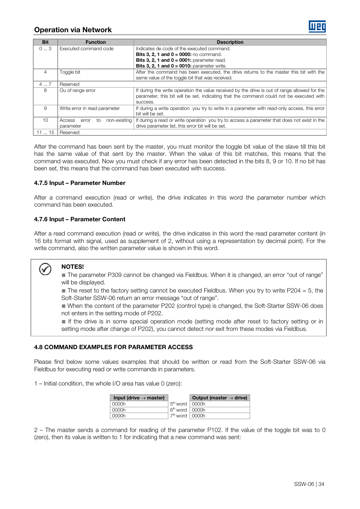| <b>Bit</b> | <b>Function</b>                 | <b>Description</b>                                                                            |  |
|------------|---------------------------------|-----------------------------------------------------------------------------------------------|--|
| 03         | Executed command code           | Indicates de code of the executed command.                                                    |  |
|            |                                 | <b>Bits 3, 2, 1 and 0 = 0000:</b> no command.                                                 |  |
|            |                                 | Bits 3, 2, 1 and $0 = 0001$ : parameter read.                                                 |  |
|            |                                 | Bits 3, 2, 1 and $0 = 0010$ : parameter write.                                                |  |
| 4          | Toggle bit                      | After the command has been executed, the drive returns to the master this bit with the        |  |
|            |                                 | same value of the toggle bit that was received.                                               |  |
| 47         | Reserved                        |                                                                                               |  |
| 8          | Ou of range error               | If during the write operation the value received by the drive is out of range allowed for the |  |
|            |                                 | parameter, this bit will be set, indicating that the command could not be executed with       |  |
|            |                                 | success.                                                                                      |  |
| 9          | Write error in read parameter   | If during a write operation you try to write in a parameter with read-only access, this error |  |
|            |                                 | bit will be set.                                                                              |  |
| 10         | non-existing<br>Access error to | If during a read or write operation you try to access a parameter that does not exist in the  |  |
|            | parameter                       | drive parameter list, this error bit will be set.                                             |  |
| 1115       | Reserved                        |                                                                                               |  |

After the command has been sent by the master, you must monitor the toggle bit value of the slave till this bit has the same value of that sent by the master. When the value of this bit matches, this means that the command was executed. Now you must check if any error has been detected in the bits 8, 9 or 10. If no bit has been set, this means that the command has been executed with success.

### <span id="page-33-0"></span>4.7.5 Input – Parameter Number

After a command execution (read or write), the drive indicates in this word the parameter number which command has been executed.

# <span id="page-33-1"></span>4.7.6 Input – Parameter Content

After a read command execution (read or write), the drive indicates in this word the read parameter content (in 16 bits format with signal, used as supplement of 2, without using a representation by decimal point). For the write command, also the written parameter value is shown in this word.

# NOTES!

■ The parameter P309 cannot be changed via Fieldbus. When it is changed, an error "out of range" will be displayed.

 $\blacksquare$  The reset to the factory setting cannot be executed Fieldbus. When you try to write P204 = 5, the Soft-Starter SSW-06 return an error message "out of range".

■ When the content of the parameter P202 (control type) is changed, the Soft-Starter SSW-06 does not enters in the setting mode of P202.

■ If the drive is in some special operation mode (setting mode after reset to factory setting or in setting mode after change of P202), you cannot detect nor exit from these modes via Fieldbus.

# <span id="page-33-2"></span>4.8 COMMAND EXAMPLES FOR PARAMETER ACCESS

Please find below some values examples that should be written or read from the Soft-Starter SSW-06 via Fieldbus for executing read or write commands in parameters.

1 – Initial condition, the whole I/O area has value 0 (zero):

| Input (drive $\rightarrow$ master) |                                | Output (master $\rightarrow$ drive) |
|------------------------------------|--------------------------------|-------------------------------------|
| 0000h                              | $5th$ word   0000h             |                                     |
| 0000h                              | $6th$ word   0000h             |                                     |
| 0000h                              | . 7 <sup>th</sup> word   0000h |                                     |

2 – The master sends a command for reading of the parameter P102. If the value of the toggle bit was to 0 (zero), then its value is written to 1 for indicating that a new command was sent: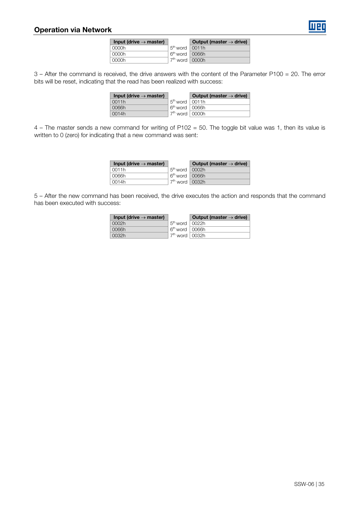

| Input (drive $\rightarrow$ master) |                          | Output (master $\rightarrow$ drive) |
|------------------------------------|--------------------------|-------------------------------------|
| 0000h                              | $5th$ word $\vert$ 0011h |                                     |
| 0000h                              | $6th$ word $\vert$ 0066h |                                     |
| 0000h                              | $7th$ word $\vert$ 0000h |                                     |

3 – After the command is received, the drive answers with the content of the Parameter P100 = 20. The error bits will be reset, indicating that the read has been realized with success:

| Input (drive $\rightarrow$ master) |                          | Output (master $\rightarrow$ drive) |
|------------------------------------|--------------------------|-------------------------------------|
| 0011h                              | $5th$ word   0011h       |                                     |
| 0066h                              | $6th$ word $\vert$ 0066h |                                     |
| 0014h                              | $7th$ word $\vert$ 0000h |                                     |

4 – The master sends a new command for writing of P102 = 50. The toggle bit value was 1, then its value is written to 0 (zero) for indicating that a new command was sent:

| Input (drive $\rightarrow$ master) |                              | Output (master $\rightarrow$ drive) |
|------------------------------------|------------------------------|-------------------------------------|
| 0011h                              | $5th$ word   0002h           |                                     |
| 0066h                              | 6 <sup>th</sup> word   0066h |                                     |
| 0014h                              | $7th$ word $\vert$ 0032h     |                                     |

5 – After the new command has been received, the drive executes the action and responds that the command has been executed with success:

| Input (drive $\rightarrow$ master) |                          | Output (master $\rightarrow$ drive) |
|------------------------------------|--------------------------|-------------------------------------|
| 0002h                              | $5th$ word   0022h       |                                     |
| 0066h                              | $6th$ word $\vert$ 0066h |                                     |
| 0032h                              | $7th$ word $\vert$ 0032h |                                     |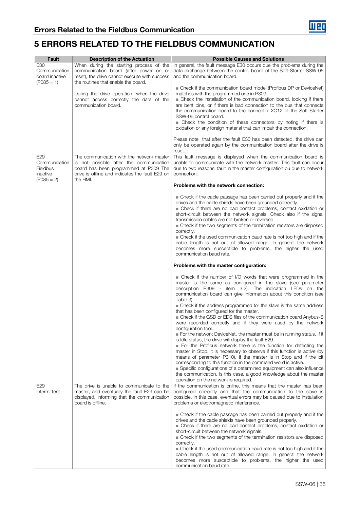<span id="page-35-0"></span>

| Fault                                                        | <b>Description of the Actuation</b>                                                                                                                                                          | <b>Possible Causes and Solutions</b>                                                                                                                                                                                                                                                                                                                                                                                                                                                                                                                                                                                                                                                                                                                                                                                                                                                                                                                                                                                                                                                                                                                                                                                                                     |
|--------------------------------------------------------------|----------------------------------------------------------------------------------------------------------------------------------------------------------------------------------------------|----------------------------------------------------------------------------------------------------------------------------------------------------------------------------------------------------------------------------------------------------------------------------------------------------------------------------------------------------------------------------------------------------------------------------------------------------------------------------------------------------------------------------------------------------------------------------------------------------------------------------------------------------------------------------------------------------------------------------------------------------------------------------------------------------------------------------------------------------------------------------------------------------------------------------------------------------------------------------------------------------------------------------------------------------------------------------------------------------------------------------------------------------------------------------------------------------------------------------------------------------------|
| E30<br>Communication<br>board inactive<br>$(PO85 = 1)$       | When during the starting process of the<br>communication board (after power on or<br>reset), the drive cannot execute with success<br>the routines that enable the board.                    | In general, the fault message E30 occurs due the problems during the<br>data exchange between the control board of the Soft-Starter SSW-06<br>and the communication board.                                                                                                                                                                                                                                                                                                                                                                                                                                                                                                                                                                                                                                                                                                                                                                                                                                                                                                                                                                                                                                                                               |
|                                                              | During the drive operation, when the drive<br>cannot access correctly the data of the<br>communication board.                                                                                | ■ Check if the communication board model (Profibus DP or DeviceNet)<br>matches with the programmed one in P309.<br>■ Check the installation of the communication board, looking if there<br>are bent pins, or if there is bad connection to the bus that connects<br>the communication board to the connector XC12 of the Soft-Starter<br>SSW-06 control board.<br>■ Check the condition of these connectors by noting if there is<br>oxidation or any foreign material that can impair the connection.<br>Please note that after the fault E30 has been detected, the drive can                                                                                                                                                                                                                                                                                                                                                                                                                                                                                                                                                                                                                                                                         |
|                                                              |                                                                                                                                                                                              | only be operated again by the communication board after the drive is<br>reset.                                                                                                                                                                                                                                                                                                                                                                                                                                                                                                                                                                                                                                                                                                                                                                                                                                                                                                                                                                                                                                                                                                                                                                           |
| E29<br>Communication<br>Fieldbus<br>inactive<br>$(PO85 = 2)$ | The communication with the network master<br>is not possible after the communication<br>board has been programmed at P309 The<br>drive is offline and indicates the fault E29 on<br>the HMI. | This fault message is displayed when the communication board is<br>unable to communicate with the network master. This fault can occur<br>due to two reasons: fault in the master configuration ou due to network<br>connection.                                                                                                                                                                                                                                                                                                                                                                                                                                                                                                                                                                                                                                                                                                                                                                                                                                                                                                                                                                                                                         |
|                                                              |                                                                                                                                                                                              | Problems with the network connection:                                                                                                                                                                                                                                                                                                                                                                                                                                                                                                                                                                                                                                                                                                                                                                                                                                                                                                                                                                                                                                                                                                                                                                                                                    |
|                                                              |                                                                                                                                                                                              | • Check if the cable passage has been carried out properly and if the<br>drives and the cable shields have been grounded correctly.<br>• Check if there are no bad contact problems, contact oxidation or<br>short-circuit between the network signals. Check also if the signal<br>transmission cables are not broken or reversed.<br>• Check if the two segments of the termination resistors are disposed<br>correctly.<br>■ Check if the used communication baud rate is not too high and if the<br>cable length is not out of allowed range. In general the network<br>becomes more susceptible to problems, the higher the used<br>communication baud rate.                                                                                                                                                                                                                                                                                                                                                                                                                                                                                                                                                                                        |
|                                                              |                                                                                                                                                                                              | Problems with the master configuration:                                                                                                                                                                                                                                                                                                                                                                                                                                                                                                                                                                                                                                                                                                                                                                                                                                                                                                                                                                                                                                                                                                                                                                                                                  |
| E <sub>29</sub>                                              | The drive is unable to communicate to the                                                                                                                                                    | • Check if the number of I/O words that were programmed in the<br>master is the same as configured in the slave (see parameter<br>description P309 - item 3.2). The indication LEDs on the<br>communication board can give information about this condition (see<br>Table 3).<br>■ Check if the address programmed for the slave is the same address<br>that has been configured for the master.<br>■ Check if the GSD or EDS files of the communication board Anybus-S<br>were recorded correctly and if they were used by the network<br>configuration tool.<br>For the network DeviceNet, the master must be in running status. If it<br>is Idle status, the drive will display the fault E29.<br>• For the Profibus network there is the function for detecting the<br>master in Stop. It is necessary to observe if this function is active (by<br>means of parameter P310), if the master is in Stop and if the bit<br>corresponding to this function in the command word is active.<br>Specific configurations of a determined equipment can also influence<br>the communication. Is this case, a good knowledge about the master<br>operation on the network is required.<br>If the communication is online, this means that the master has been |
| Intermittent                                                 | master, and eventually the fault E29 can be<br>displayed, informing that the communication<br>board is offline.                                                                              | configured correctly and that the communication to the slave is<br>possible. In this case, eventual errors may be caused due to installation<br>problems or electromagnetic interference.                                                                                                                                                                                                                                                                                                                                                                                                                                                                                                                                                                                                                                                                                                                                                                                                                                                                                                                                                                                                                                                                |
|                                                              |                                                                                                                                                                                              | • Check if the cable passage has been carried out properly and if the<br>drives and the cable shields have been grounded properly.<br>• Check if there are no bad contact problems, contact oxidation or<br>short-circuit between the network signals.<br>■ Check if the two segments of the termination resistors are disposed<br>correctly.<br>■ Check if the used communication baud rate is not too high and if the<br>cable length is not out of allowed range. In general the network<br>becomes more susceptible to problems, the higher the used<br>communication baud rate.                                                                                                                                                                                                                                                                                                                                                                                                                                                                                                                                                                                                                                                                     |

**Luen**